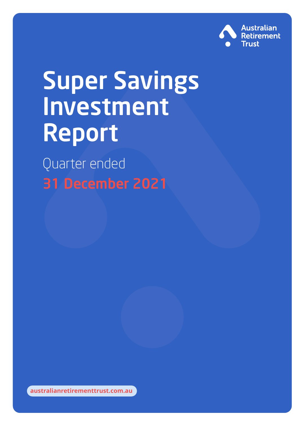

# Super Savings Investment Report

Quarter ended 31 December 2021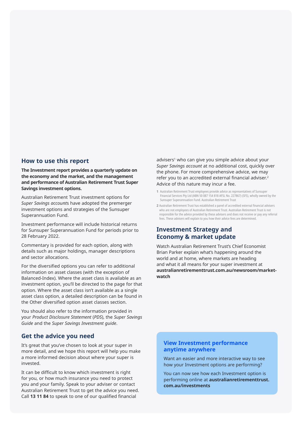#### **How to use this report**

**The Investment report provides a quarterly update on the economy and the market, and the management and performance of Australian Retirement Trust Super Savings investment options.** 

Australian Retirement Trust investment options for *Super Savings account*s have adopted the premerger investment options and strategies of the Sunsuper Superannuation Fund.

Investment performance will include historical returns for Sunsuper Superannuation Fund for periods prior to 28 February 2022.

Commentary is provided for each option, along with details such as major holdings, manager descriptions and sector allocations.

For the diversified options you can refer to additional information on asset classes (with the exception of Balanced-Index). Where the asset class is available as an investment option, you'll be directed to the page for that option. Where the asset class isn't available as a single asset class option, a detailed description can be found in the Other diversified option asset classes section.

You should also refer to the information provided in your *Product Disclosure Statement* (*PDS*), the *Super Savings Guide* and the *Super Savings Investment guide*.

#### **Get the advice you need**

It's great that you've chosen to look at your super in more detail, and we hope this report will help you make a more informed decision about where your super is invested.

It can be difficult to know which investment is right for you, or how much insurance you need to protect you and your family. Speak to your adviser or contact Australian Retirement Trust to get the advice you need. Call **13 11 84** to speak to one of our qualified financial

advisers<sup>1</sup> who can give you simple advice about your *Super Savings account* at no additional cost, quickly over the phone. For more comprehensive advice, we may refer you to an accredited external financial adviser.2 Advice of this nature may incur a fee.

- **1** Australian Retirement Trust employees provide advice as representatives of Sunsuper Financial Services Pty Ltd (ABN 50 087 154 818 AFSL No. 227867) (SFS), wholly owned by the Sunsuper Superannuation Fund. Australian Retirement Trust
- **2** Australian Retirement Trust has established a panel of accredited external financial advisers who are not employees of Australian Retirement Trust. Australian Retirement Trust is not responsible for the advice provided by these advisers and does not receive or pay any referral fees. These advisers will explain to you how their advice fees are determined.

#### **Investment Strategy and Economy & market update**

Watch Australian Retirement Trust's Chief Economist Brian Parker explain what's happening around the world and at home, where markets are heading and what it all means for your super investment at **australianretirementtrust.com.au/newsroom/marketwatch**

#### **View Investment performance anytime anywhere**

Want an easier and more interactive way to see how your Investment options are performing?

You can now see how each Investment option is performing online at **australianretirementtrust. com.au/investments**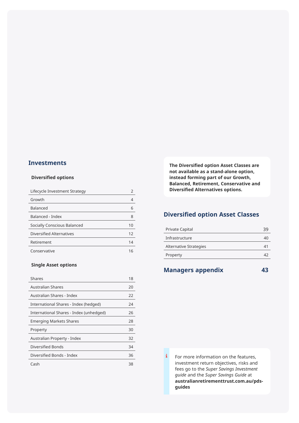#### **Investments**

#### **Diversified options**

| Lifecycle Investment Strategy |    |
|-------------------------------|----|
| Growth                        |    |
| <b>Balanced</b>               | 6  |
| Balanced - Index              | 8  |
| Socially Conscious Balanced   | 10 |
| Diversified Alternatives      | 12 |
| Retirement                    | 14 |
| Conservative                  | 16 |

#### **Single Asset options**

| <b>Shares</b>                           | 18 |
|-----------------------------------------|----|
| <b>Australian Shares</b>                | 20 |
| Australian Shares - Index               | 22 |
| International Shares - Index (hedged)   | 24 |
| International Shares - Index (unhedged) | 26 |
| <b>Emerging Markets Shares</b>          | 28 |
| Property                                | 30 |
| Australian Property - Index             | 32 |
| Diversified Bonds                       | 34 |
| Diversified Bonds - Index               | 36 |
| Cash                                    | 38 |

**The Diversified option Asset Classes are not available as a stand-alone option, instead forming part of our Growth, Balanced, Retirement, Conservative and Diversified Alternatives options.** 

### **Diversified option Asset Classes**

| <b>Private Capital</b>        |    |
|-------------------------------|----|
| Infrastructure                | 40 |
| <b>Alternative Strategies</b> |    |
| Property                      |    |
|                               |    |

#### **Managers appendix 43**

For more information on the features, investment return objectives, risks and fees go to the *Super Savings Investment guide* and the *Super Savings Guide* at **australianretirementtrust.com.au/pdsguides**

i.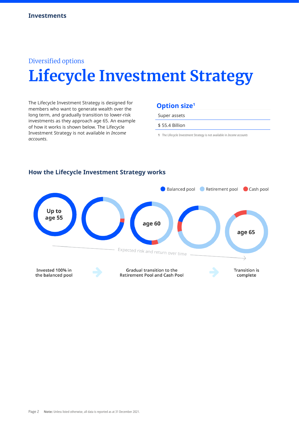# Diversified options **Lifecycle Investment Strategy**

The Lifecycle Investment Strategy is designed for members who want to generate wealth over the long term, and gradually transition to lower-risk investments as they approach age 65. An example of how it works is shown below. The Lifecycle Investment Strategy is not available in *Income accounts*.

### **Option size1**

Super assets

\$ 55.4 Billion

**1** The Lifecycle Investment Strategy is not available in *Income accounts*



#### **How the Lifecycle Investment Strategy works**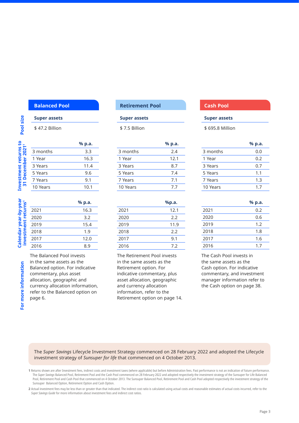#### **Super assets**

**Pool size**

Pool size

\$ 47.2 Billion

| ဥ                                      |          | % p.a. |
|----------------------------------------|----------|--------|
| Investment returns<br>31 December 2021 | 3 months | 3.3    |
|                                        | 1 Year   | 16.3   |
|                                        | 3 Years  | 11.4   |
|                                        | 5 Years  | 9.6    |
|                                        | 7 Years  | 9.1    |
|                                        | 10 Years | 10.1   |
|                                        |          |        |

**% p.a.** 16.3

15.4

 $12.0$ 

|                            |      | % p.a |
|----------------------------|------|-------|
| year-by-yea<br>ent returns | 2021 | 16.3  |
|                            | 2020 | 3.2   |
|                            | 2019 | 15.4  |
| investm                    | 2018 | 1.9   |
| <b>Calenda</b>             | 2017 | 12.0  |
|                            | 2016 | 8.9   |
|                            |      |       |

The Balanced Pool invests in the same assets as the Balanced option. For indicative commentary, plus asset allocation, geographic and currency allocation information, refer to the Balanced option on page 6.

#### **Balanced Pool Retirement Pool Cash Pool**

#### **Super assets**

\$ 7.5 Billion

|          | % p.a. |
|----------|--------|
| 3 months | 2.4    |
| 1 Year   | 12.1   |
| 3 Years  | 8.7    |
| 5 Years  | 7.4    |
| 7 Years  | 7.1    |
| 10 Years | 7.7    |

|      | %p.a. |
|------|-------|
| 2021 | 12.1  |
| 2020 | 2.2   |
| 2019 | 11.9  |
| 2018 | 2.2   |
| 2017 | 9.1   |
| 2016 | 72    |

The Retirement Pool invests in the same assets as the Retirement option. For indicative commentary, plus asset allocation, geographic and currency allocation information, refer to the Retirement option on page 14.

#### **Super assets**

\$ 695.8 Million

|          | % p.a. |
|----------|--------|
| 3 months | 0.0    |
| 1 Year   | 0.2    |
| 3 Years  | 0.7    |
| 5 Years  | 1.1    |
| 7 Years  | 1.3    |
| 10 Years | 17     |
|          |        |

|      | % p.a. |
|------|--------|
| 2021 | 0.2    |
| 2020 | 0.6    |
| 2019 | 1.2    |
| 2018 | 1.8    |
| 2017 | 1.6    |
| 2016 | 17     |

The Cash Pool invests in the same assets as the Cash option. For indicative commentary, and investment manager information refer to the Cash option on page 38.

The *Super Savings* Lifecycle Investment Strategy commenced on 28 February 2022 and adopted the Lifecycle investment strategy of *Sunsuper for life* that commenced on 4 October 2013.

**2** Actual investment fees may be less than or greater than that indicated. The indirect cost ratio is calculated using actual costs and reasonable estimates of actual costs incurred, refer to the *Super Savings Guide* for more information about investment fees and indirect cost ratios.

**<sup>1</sup>** Returns shown are after Investment fees, indirect costs and investment taxes (where applicable) but before Administration fees. Past performance is not an indication of future performance. The Super Savings Balanced Pool, Retirement Pool and the Cash Pool commenced on 28 February 2022 and adopted respectively the investment strategy of the Sunsuper for Life Balanced Pool, Retirement Pool and Cash Pool that commenced on 4 October 2013. The Sunsuper Balanced Pool, Retirement Pool and Cash Pool adopted respectively the investment strategy of the Sunsuper Balanced Option, Retirement Option and Cash Option.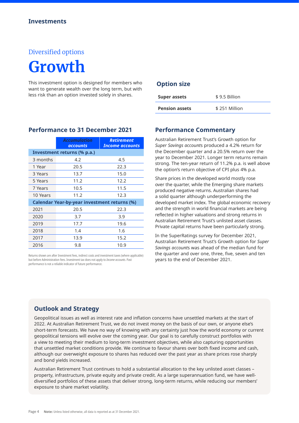# Diversified options **Growth**

This investment option is designed for members who want to generate wealth over the long term, but with less risk than an option invested solely in shares.

|          | <b>Accumulation</b>                                 | <b>Retirement</b>      |
|----------|-----------------------------------------------------|------------------------|
|          | <b>accounts</b>                                     | <b>Income accounts</b> |
|          | Investment returns (% p.a.)                         |                        |
| 3 months | 4.2                                                 | 4.5                    |
| 1 Year   | 20.5                                                | 22.3                   |
| 3 Years  | 13.7                                                | 15.0                   |
| 5 Years  | 11.2                                                | 12.2                   |
| 7 Years  | 10.5                                                | 11.5                   |
| 10 Years | 11.2                                                | 12.3                   |
|          | <b>Calendar Year-by-year investment returns (%)</b> |                        |
| 2021     | 20.5                                                | 22.3                   |
| 2020     | 3.7                                                 | 3.9                    |
| 2019     | 17.7                                                | 19.6                   |
| 2018     | 1.4                                                 | 1.6                    |
| 2017     | 13.9                                                | 15.2                   |
| 2016     | 9.8                                                 | 10.9                   |

**Performance to 31 December 2021**

Returns shown are after Investment fees, indirect costs and investment taxes (where applicable) but before Administration fees. Investment tax does not apply to *Income accounts*. Past performance is not a reliable indicator of future performance.

#### **Option size**

| <b>Super assets</b>   | \$9.5 Billion |
|-----------------------|---------------|
| <b>Pension assets</b> | \$251 Million |

#### **Performance Commentary**

Australian Retirement Trust's Growth option for *Super Savings account*s produced a 4.2% return for the December quarter and a 20.5% return over the year to December 2021. Longer term returns remain strong. The ten-year return of 11.2% p.a. is well above the option's return objective of CPI plus 4% p.a.

Share prices in the developed world mostly rose over the quarter, while the Emerging share markets produced negative returns. Australian shares had a solid quarter although underperforming the developed market index. The global economic recovery and the strength in world financial markets are being reflected in higher valuations and strong returns in Australian Retirement Trust's unlisted asset classes. Private capital returns have been particularly strong.

In the SuperRatings survey for December 2021, Australian Retirement Trust's Growth option for *Super Savings account*s was ahead of the median fund for the quarter and over one, three, five, seven and ten years to the end of December 2021.

#### **Outlook and Strategy**

Geopolitical issues as well as interest rate and inflation concerns have unsettled markets at the start of 2022. At Australian Retirement Trust, we do not invest money on the basis of our own, or anyone else's short-term forecasts. We have no way of knowing with any certainty just how the world economy or current geopolitical tensions will evolve over the coming year. Our goal is to carefully construct portfolios with a view to meeting their medium to long-term investment objectives, while also capturing opportunities that unsettled market conditions provide. We continue to favour shares over both fixed income and cash, although our overweight exposure to shares has reduced over the past year as share prices rose sharply and bond yields increased.

Australian Retirement Trust continues to hold a substantial allocation to the key unlisted asset classes – property, infrastructure, private equity and private credit. As a large superannuation fund, we have welldiversified portfolios of these assets that deliver strong, long-term returns, while reducing our members' exposure to share market volatility.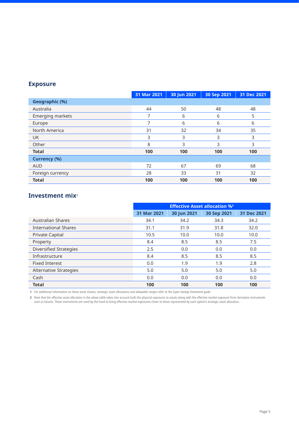|                     | 31 Mar 2021 | 30 Jun 2021 | 30 Sep 2021 | 31 Dec 2021 |
|---------------------|-------------|-------------|-------------|-------------|
| Geographic (%)      |             |             |             |             |
| Australia           | 44          | 50          | 48          | 48          |
| Emerging markets    | 7           | 6           | 6           | 5           |
| Europe              | 7           | 6           | 6           | 6           |
| North America       | 31          | 32          | 34          | 35          |
| <b>UK</b>           | 3           | 3           | 3           | 3           |
| Other               | 8           | 3           | 3           | 3           |
| <b>Total</b>        | 100         | 100         | 100         | 100         |
| <b>Currency (%)</b> |             |             |             |             |
| <b>AUD</b>          | 72          | 67          | 69          | 68          |
| Foreign currency    | 28          | 33          | 31          | 32          |
| <b>Total</b>        | 100         | 100         | 100         | 100         |

#### **Investment mix<sup>1</sup>**

|                               | <b>Effective Asset allocation %2</b> |             |             |             |
|-------------------------------|--------------------------------------|-------------|-------------|-------------|
|                               | 31 Mar 2021                          | 30 Jun 2021 | 30 Sep 2021 | 31 Dec 2021 |
| <b>Australian Shares</b>      | 34.1                                 | 34.2        | 34.3        | 34.2        |
| <b>International Shares</b>   | 31.1                                 | 31.9        | 31.8        | 32.0        |
| <b>Private Capital</b>        | 10.5                                 | 10.0        | 10.0        | 10.0        |
| Property                      | 8.4                                  | 8.5         | 8.5         | 7.5         |
| <b>Diversified Strategies</b> | 2.5                                  | 0.0         | 0.0         | 0.0         |
| Infrastructure                | 8.4                                  | 8.5         | 8.5         | 8.5         |
| <b>Fixed Interest</b>         | 0.0                                  | 1.9         | 1.9         | 2.8         |
| Alternative Strategies        | 5.0                                  | 5.0         | 5.0         | 5.0         |
| Cash                          | 0.0                                  | 0.0         | 0.0         | 0.0         |
| <b>Total</b>                  | 100                                  | 100         | 100         | 100         |

**1** For additional information on these asset classes, strategic asset allocations and allowable ranges refer to the *Super Savings Investment guide*.

**2** Note that the effective asset allocation in the above table takes into account both the physical exposures to assets along with the effective market exposure from derivative instruments such as futures. These instruments are used by the Fund to bring effective market exposures closer to those represented by each option's strategic asset allocation.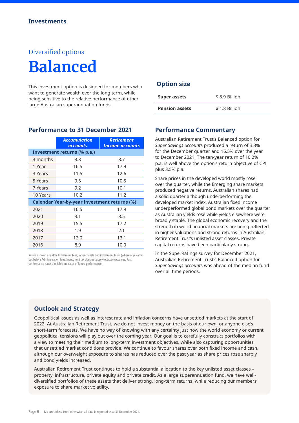# Diversified options **Balanced**

This investment option is designed for members who want to generate wealth over the long term, while being sensitive to the relative performance of other large Australian superannuation funds.

|          | <b>Accumulation</b><br><b>accounts</b>              | <b>Retirement</b><br><b>Income accounts</b> |
|----------|-----------------------------------------------------|---------------------------------------------|
|          | Investment returns (% p.a.)                         |                                             |
| 3 months | 3.3                                                 | 3.7                                         |
| 1 Year   | 16.5                                                | 17.9                                        |
| 3 Years  | 11.5                                                | 12.6                                        |
| 5 Years  | 9.6                                                 | 10.5                                        |
| 7 Years  | 9.2                                                 | 10.1                                        |
| 10 Years | 10.2                                                | 11.2                                        |
|          | <b>Calendar Year-by-year investment returns (%)</b> |                                             |
| 2021     | 16.5                                                | 17.9                                        |
| 2020     | 3.1                                                 | 3.5                                         |
| 2019     | 15.5                                                | 17.2                                        |
| 2018     | 1.9                                                 | 2.1                                         |
| 2017     | 12.0                                                | 13.1                                        |
| 2016     | 8.9                                                 | 10.0                                        |

**Performance to 31 December 2021**

Returns shown are after Investment fees, indirect costs and investment taxes (where applicable) but before Administration fees. Investment tax does not apply to *Income accounts*. Past performance is not a reliable indicator of future performance.

#### **Option size**

| <b>Super assets</b>   | \$8.9 Billion |
|-----------------------|---------------|
| <b>Pension assets</b> | \$1.8 Billion |

#### **Performance Commentary**

Australian Retirement Trust's Balanced option for *Super Savings account*s produced a return of 3.3% for the December quarter and 16.5% over the year to December 2021. The ten-year return of 10.2% p.a. is well above the option's return objective of CPI plus 3.5% p.a.

Share prices in the developed world mostly rose over the quarter, while the Emerging share markets produced negative returns. Australian shares had a solid quarter although underperforming the developed market index. Australian fixed income underperformed global bond markets over the quarter as Australian yields rose while yields elsewhere were broadly stable. The global economic recovery and the strength in world financial markets are being reflected in higher valuations and strong returns in Australian Retirement Trust's unlisted asset classes. Private capital returns have been particularly strong.

In the SuperRatings survey for December 2021, Australian Retirement Trust's Balanced option for *Super Savings account*s was ahead of the median fund over all time periods.

#### **Outlook and Strategy**

Geopolitical issues as well as interest rate and inflation concerns have unsettled markets at the start of 2022. At Australian Retirement Trust, we do not invest money on the basis of our own, or anyone else's short-term forecasts. We have no way of knowing with any certainty just how the world economy or current geopolitical tensions will play out over the coming year. Our goal is to carefully construct portfolios with a view to meeting their medium to long-term investment objectives, while also capturing opportunities that unsettled market conditions provide. We continue to favour shares over both fixed income and cash, although our overweight exposure to shares has reduced over the past year as share prices rose sharply and bond yields increased.

Australian Retirement Trust continues to hold a substantial allocation to the key unlisted asset classes – property, infrastructure, private equity and private credit. As a large superannuation fund, we have welldiversified portfolios of these assets that deliver strong, long-term returns, while reducing our members' exposure to share market volatility.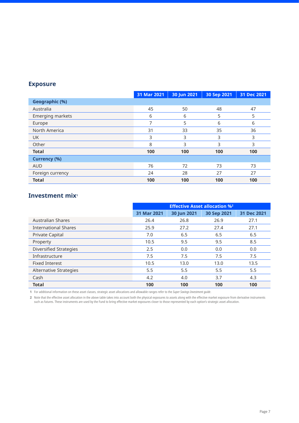|                     | 31 Mar 2021 | 30 Jun 2021 | 30 Sep 2021 | 31 Dec 2021 |
|---------------------|-------------|-------------|-------------|-------------|
| Geographic (%)      |             |             |             |             |
| Australia           | 45          | 50          | 48          | 47          |
| Emerging markets    | 6           | 6           | 5           | 5           |
| Europe              |             | 5           | 6           | 6           |
| North America       | 31          | 33          | 35          | 36          |
| <b>UK</b>           | 3           | 3           | 3           | 3           |
| Other               | 8           | 3           | 3           | 3           |
| <b>Total</b>        | 100         | 100         | 100         | 100         |
| <b>Currency (%)</b> |             |             |             |             |
| <b>AUD</b>          | 76          | 72          | 73          | 73          |
| Foreign currency    | 24          | 28          | 27          | 27          |
| <b>Total</b>        | 100         | 100         | 100         | 100         |

#### **Investment mix<sup>1</sup>**

|                               | <b>Effective Asset allocation %2</b> |             |             |             |
|-------------------------------|--------------------------------------|-------------|-------------|-------------|
|                               | 31 Mar 2021                          | 30 Jun 2021 | 30 Sep 2021 | 31 Dec 2021 |
| Australian Shares             | 26.4                                 | 26.8        | 26.9        | 27.1        |
| <b>International Shares</b>   | 25.9                                 | 27.2        | 27.4        | 27.1        |
| <b>Private Capital</b>        | 7.0                                  | 6.5         | 6.5         | 6.5         |
| Property                      | 10.5                                 | 9.5         | 9.5         | 8.5         |
| <b>Diversified Strategies</b> | 2.5                                  | 0.0         | 0.0         | 0.0         |
| Infrastructure                | 7.5                                  | 7.5         | 7.5         | 7.5         |
| <b>Fixed Interest</b>         | 10.5                                 | 13.0        | 13.0        | 13.5        |
| Alternative Strategies        | 5.5                                  | 5.5         | 5.5         | 5.5         |
| Cash                          | 4.2                                  | 4.0         | 3.7         | 4.3         |
| <b>Total</b>                  | 100                                  | 100         | 100         | 100         |

**1** For additional information on these asset classes, strategic asset allocations and allowable ranges refer to the *Super Savings Investment guide*.

**2** Note that the effective asset allocation in the above table takes into account both the physical exposures to assets along with the effective market exposure from derivative instruments such as futures. These instruments are used by the Fund to bring effective market exposures closer to those represented by each option's strategic asset allocation.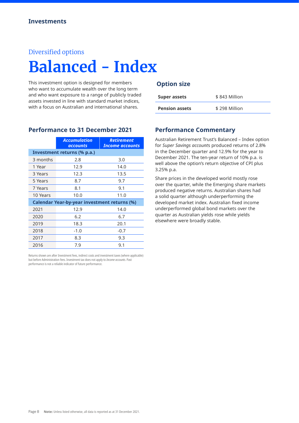#### Diversified options

# **Balanced - Index**

This investment option is designed for members who want to accumulate wealth over the long term and who want exposure to a range of publicly traded assets invested in line with standard market indices, with a focus on Australian and international shares.

**Performance to 31 December 2021**

|          | <b>Accumulation</b><br>accounts                     | <b>Retirement</b><br><b>Income accounts</b> |
|----------|-----------------------------------------------------|---------------------------------------------|
|          | Investment returns (% p.a.)                         |                                             |
| 3 months | 2.8                                                 | 3.0                                         |
| 1 Year   | 12.9                                                | 14.0                                        |
| 3 Years  | 12.3                                                | 13.5                                        |
| 5 Years  | 8.7                                                 | 9.7                                         |
| 7 Years  | 8.1                                                 | 9.1                                         |
| 10 Years | 10.0                                                | 11.0                                        |
|          | <b>Calendar Year-by-year investment returns (%)</b> |                                             |
| 2021     | 12.9                                                | 14.0                                        |
| 2020     | 6.2                                                 | 6.7                                         |
| 2019     | 18.3                                                | 20.1                                        |
| 2018     | $-1.0$                                              | $-0.7$                                      |
| 2017     | 8.3                                                 | 9.3                                         |
| 2016     | 7.9                                                 | 9.1                                         |

Returns shown are after Investment fees, indirect costs and investment taxes (where applicable) but before Administration fees. Investment tax does not apply to *Income accounts*. Past performance is not a reliable indicator of future performance.

#### **Option size**

| Super assets          | \$843 Million |
|-----------------------|---------------|
| <b>Pension assets</b> | \$298 Million |

#### **Performance Commentary**

Australian Retirement Trust's Balanced – Index option for *Super Savings account*s produced returns of 2.8% in the December quarter and 12.9% for the year to December 2021. The ten-year return of 10% p.a. is well above the option's return objective of CPI plus 3.25% p.a.

Share prices in the developed world mostly rose over the quarter, while the Emerging share markets produced negative returns. Australian shares had a solid quarter although underperforming the developed market index. Australian fixed income underperformed global bond markets over the quarter as Australian yields rose while yields elsewhere were broadly stable.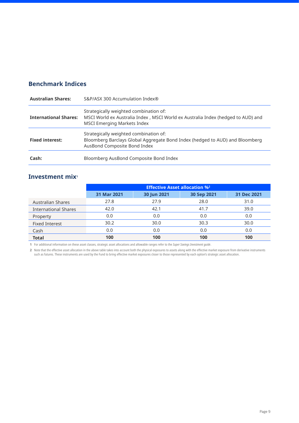#### **Benchmark Indices**

| <b>Australian Shares:</b>    | S&P/ASX 300 Accumulation Index®                                                                                                                                   |
|------------------------------|-------------------------------------------------------------------------------------------------------------------------------------------------------------------|
| <b>International Shares:</b> | Strategically weighted combination of:<br>MSCI World ex Australia Index , MSCI World ex Australia Index (hedged to AUD) and<br><b>MSCI Emerging Markets Index</b> |
| <b>Fixed interest:</b>       | Strategically weighted combination of:<br>Bloomberg Barclays Global Aggregate Bond Index (hedged to AUD) and Bloomberg<br>AusBond Composite Bond Index            |
| Cash:                        | Bloomberg AusBond Composite Bond Index                                                                                                                            |

#### **Investment mix<sup>1</sup>**

|                             | <b>Effective Asset allocation %2</b> |                                           |      |      |  |  |
|-----------------------------|--------------------------------------|-------------------------------------------|------|------|--|--|
|                             | 31 Mar 2021                          | 30 Jun 2021<br>30 Sep 2021<br>31 Dec 2021 |      |      |  |  |
| <b>Australian Shares</b>    | 27.8                                 | 27.9                                      | 28.0 | 31.0 |  |  |
| <b>International Shares</b> | 42.0                                 | 42.1                                      | 41.7 | 39.0 |  |  |
| Property                    | 0.0                                  | 0.0                                       | 0.0  | 0.0  |  |  |
| <b>Fixed Interest</b>       | 30.2                                 | 30.0                                      | 30.3 | 30.0 |  |  |
| Cash                        | 0.0                                  | 0.0                                       | 0.0  | 0.0  |  |  |
| <b>Total</b>                | 100                                  | 100                                       | 100  | 100  |  |  |

**1** For additional information on these asset classes, strategic asset allocations and allowable ranges refer to the *Super Savings Investment guide*.

**2** Note that the effective asset allocation in the above table takes into account both the physical exposures to assets along with the effective market exposure from derivative instruments such as futures. These instruments are used by the Fund to bring effective market exposures closer to those represented by each option's strategic asset allocation.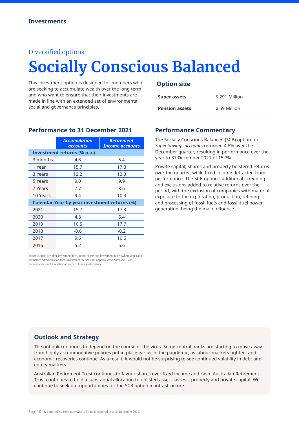#### Diversified options

# **Socially Conscious Balanced**

This investment option is designed for members who are seeking to accumulate wealth over the long term and who want to ensure that their investments are made in line with an extended set of environmental, social and governance principles.

**Performance to 31 December 2021**

|          | <b>Accumulation</b><br><b>accounts</b>              | <b>Retirement</b><br>Income accounts |
|----------|-----------------------------------------------------|--------------------------------------|
|          | Investment returns (% p.a.)                         |                                      |
| 3 months | 4.8                                                 | 5.4                                  |
| 1 Year   | 15.7                                                | 17.3                                 |
| 3 Years  | 12.2                                                | 13.3                                 |
| 5 Years  | 9.0                                                 | 9.9                                  |
| 7 Years  | 7.7                                                 | 8.6                                  |
| 10 Years | 9.4                                                 | 10.3                                 |
|          | <b>Calendar Year-by-year investment returns (%)</b> |                                      |
| 2021     | 15.7                                                | 17.3                                 |
| 2020     | 4.8                                                 | 5.4                                  |
| 2019     | 16.5                                                | 17.7                                 |
| 2018     | $-0.6$                                              | $-0.2$                               |
| 2017     | 9.6                                                 | 10.6                                 |
| 2016     | 5.2                                                 | 5.6                                  |

Returns shown are after Investment fees, indirect costs and investment taxes (where applicable) but before Administration fees. Investment tax does not apply to *Income accounts*. Past performance is not a reliable indicator of future performance.

#### **Option size**

| Super assets          | \$291 Million |
|-----------------------|---------------|
| <b>Pension assets</b> | \$59 Million  |

#### **Performance Commentary**

The Socially Conscious Balanced (SCB) option for *Super Savings account*s returned 4.8% over the December quarter, resulting in performance over the year to 31 December 2021 of 15.7%.

Private capital, shares and property bolstered returns over the quarter, while fixed income detracted from performance. The SCB option's additional screening and exclusions added to relative returns over the period, with the exclusion of companies with material exposure to the exploration, production, refining and processing of fossil fuels and fossil-fuel power generation, being the main influence.

#### **Outlook and Strategy**

The outlook continues to depend on the course of the virus. Some central banks are starting to move away from highly accommodative policies put in place earlier in the pandemic, as labour markets tighten, and economic recoveries continue. As a result, it would not be surprising to see continued volatility in debt and equity markets.

Australian Retirement Trust continues to favour shares over fixed income and cash. Australian Retirement Trust continues to hold a substantial allocation to unlisted asset classes – property and private capital. We continue to seek out opportunities for the SCB option in infrastructure.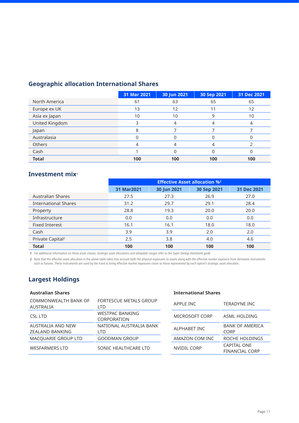### **Geographic allocation International Shares**

|                | 31 Mar 2021 | 30 Jun 2021 | 30 Sep 2021 | 31 Dec 2021 |
|----------------|-------------|-------------|-------------|-------------|
| North America  | 61          | 63          | 65          | 65          |
| Europe ex UK   | 13          | 12          | 11          | 12          |
| Asia ex Japan  | 10          | 10          |             | 10          |
| United Kingdom |             |             |             |             |
| Japan          | 8           |             |             |             |
| Australasia    |             |             |             |             |
| <b>Others</b>  |             |             |             |             |
| Cash           |             |             |             |             |
| <b>Total</b>   | 100         | 100         | 100         | 100         |

#### **Investment mix<sup>1</sup>**

|                              | <b>Effective Asset allocation %2</b> |             |             |             |
|------------------------------|--------------------------------------|-------------|-------------|-------------|
|                              | 31 Mar2021                           | 30 Jun 2021 | 30 Sep 2021 | 31 Dec 2021 |
| Australian Shares            | 27.5                                 | 27.3        | 26.9        | 27.0        |
| <b>International Shares</b>  | 31.2                                 | 29.7        | 29.1        | 28.4        |
| Property                     | 28.8                                 | 19.3        | 20.0        | 20.0        |
| Infrastructure               | 0.0                                  | 0.0         | 0.0         | 0.0         |
| <b>Fixed Interest</b>        | 16.1                                 | 16.1        | 18.0        | 18.0        |
| Cash                         | 3.9                                  | 3.9         | 2.0         | 2.0         |
| Private Capital <sup>2</sup> | 2.5                                  | 3.8         | 4.0         | 4.6         |
| <b>Total</b>                 | 100                                  | 100         | 100         | 100         |

**1** For additional information on these asset classes, strategic asset allocations and allowable ranges refer to the *Super Savings Investment guide*.

**2** Note that the effective asset allocation in the above table takes into account both the physical exposures to assets along with the effective market exposure from derivative instruments

such as futures. These instruments are used by the Fund to bring effective market exposures closer to those represented by each option's strategic asset allocation.

### **Largest Holdings**

#### **Australian Shares International Shares**

| COMMONWEALTH BANK OF<br><b>AUSTRALIA</b>    | FORTESCUE METALS GROUP<br>LTD         | APPLE INC      | TERADYNE INC                                |
|---------------------------------------------|---------------------------------------|----------------|---------------------------------------------|
| CSL LTD                                     | <b>WESTPAC BANKING</b><br>CORPORATION | MICROSOFT CORP | ASML HOLDING                                |
| AUSTRALIA AND NEW<br><b>ZEALAND BANKING</b> | NATIONAL AUSTRALIA BANK<br>I TD       | ALPHABET INC   | <b>BANK OF AMERICA</b><br><b>CORP</b>       |
| MACQUARIE GROUP LTD                         | <b>GOODMAN GROUP</b>                  | AMAZON COM INC | ROCHE HOLDINGS                              |
| <b>WESFARMERS LTD</b>                       | SONIC HEALTHCARE LTD                  | NVIDIL CORP    | <b>CAPITAL ONE</b><br><b>FINANCIAL CORP</b> |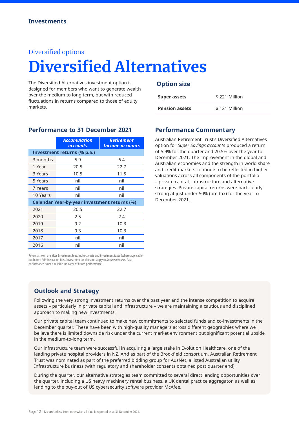#### Diversified options

# **Diversified Alternatives**

The Diversified Alternatives investment option is designed for members who want to generate wealth over the medium to long term, but with reduced fluctuations in returns compared to those of equity markets.

|          | <b>Accumulation</b><br><b>accounts</b>              | <b>Retirement</b><br><b>Income accounts</b> |
|----------|-----------------------------------------------------|---------------------------------------------|
|          | Investment returns (% p.a.)                         |                                             |
| 3 months | 5.9                                                 | 6.4                                         |
| 1 Year   | 20.5                                                | 22.7                                        |
| 3 Years  | 10.5                                                | 11.5                                        |
| 5 Years  | nil                                                 | nil                                         |
| 7 Years  | nil                                                 | nil                                         |
| 10 Years | nil                                                 | nil                                         |
|          | <b>Calendar Year-by-year investment returns (%)</b> |                                             |
| 2021     | 20.5                                                | 22.7                                        |
| 2020     | 2.5                                                 | 2.4                                         |
| 2019     | 9.2                                                 | 10.3                                        |
| 2018     | 9.3                                                 | 10.3                                        |
| 2017     | nil                                                 | nil                                         |
| 2016     | nil                                                 | nil                                         |

#### **Performance to 31 December 2021**

#### **Option size**

| Super assets          | \$221 Million |
|-----------------------|---------------|
| <b>Pension assets</b> | \$121 Million |

#### **Performance Commentary**

Australian Retirement Trust's Diversified Alternatives option for *Super Savings account*s produced a return of 5.9% for the quarter and 20.5% over the year to December 2021. The improvement in the global and Australian economies and the strength in world share and credit markets continue to be reflected in higher valuations across all components of the portfolio – private capital, infrastructure and alternative strategies. Private capital returns were particularly strong at just under 50% (pre-tax) for the year to December 2021.

Returns shown are after Investment fees, indirect costs and investment taxes (where applicable) but before Administration fees. Investment tax does not apply to *Income accounts*. Past performance is not a reliable indicator of future performance.

#### **Outlook and Strategy**

Following the very strong investment returns over the past year and the intense competition to acquire assets – particularly in private capital and infrastructure – we are maintaining a cautious and disciplined approach to making new investments.

Our private capital team continued to make new commitments to selected funds and co-investments in the December quarter. These have been with high-quality managers across different geographies where we believe there is limited downside risk under the current market environment but significant potential upside in the medium-to-long term.

Our infrastructure team were successful in acquiring a large stake in Evolution Healthcare, one of the leading private hospital providers in NZ. And as part of the Brookfield consortium, Australian Retirement Trust was nominated as part of the preferred bidding group for AusNet, a listed Australian utility Infrastructure business (with regulatory and shareholder consents obtained post quarter end).

During the quarter, our alternative strategies team committed to several direct lending opportunities over the quarter, including a US heavy machinery rental business, a UK dental practice aggregator, as well as lending to the buy-out of US cybersecurity software provider McAfee.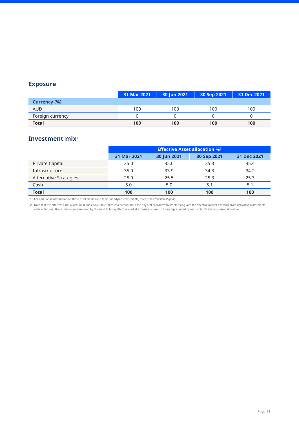|                  | 31 Mar 2021 | 30 Jun 2021 | 30 Sep 2021 | 31 Dec 2021 |
|------------------|-------------|-------------|-------------|-------------|
| Currency (%)     |             |             |             |             |
| <b>AUD</b>       | 100         | 100         | 100         | 100         |
| Foreign currency |             |             |             |             |
| <b>Total</b>     | 100         | 100         | 100         | 100         |

### **Investment mix<sup>1</sup>**

|                        | <b>Effective Asset allocation %2</b> |             |             |             |
|------------------------|--------------------------------------|-------------|-------------|-------------|
|                        | 31 Mar 2021                          | 30 Jun 2021 | 30 Sep 2021 | 31 Dec 2021 |
| Private Capital        | 35.0                                 | 35.6        | 35.3        | 35.4        |
| Infrastructure         | 35.0                                 | 33.9        | 34.3        | 34.2        |
| Alternative Strategies | 25.0                                 | 25.5        | 25.3        | 25.3        |
| Cash                   | 5.0                                  | 5.0         | 5.1         | 5.1         |
| <b>Total</b>           | 100                                  | 100         | 100         | 100         |

**1** For additional information on these asset classes and their underlying investments, refer to the *Investment guide*.

**2** Note that the effective asset allocation in the above table takes into account both the physical exposures to assets along with the effective market exposure from derivative instruments such as futures. These instruments are used by the Fund to bring effective market exposures closer to those represented by each option's strategic asset allocation.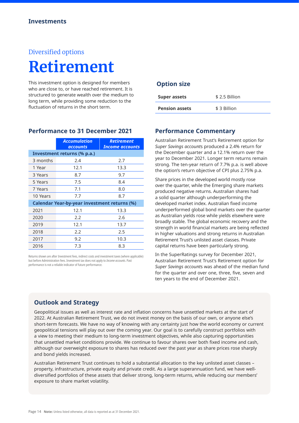# Diversified options **Retirement**

This investment option is designed for members who are close to, or have reached retirement. It is structured to generate wealth over the medium to long term, while providing some reduction to the fluctuation of returns in the short term.

|          | <b>Accumulation</b><br>accounts                     | <b>Retirement</b><br><b>Income accounts</b> |
|----------|-----------------------------------------------------|---------------------------------------------|
|          | Investment returns (% p.a.)                         |                                             |
| 3 months | 2.4                                                 | 2.7                                         |
| 1 Year   | 12.1                                                | 13.3                                        |
| 3 Years  | 8.7                                                 | 9.7                                         |
| 5 Years  | 7.5                                                 | 8.4                                         |
| 7 Years  | 7.1                                                 | 8.0                                         |
| 10 Years | 7.7                                                 | 8.7                                         |
|          | <b>Calendar Year-by-year investment returns (%)</b> |                                             |
| 2021     | 12.1                                                | 13.3                                        |
| 2020     | 2.2                                                 | 2.6                                         |
| 2019     | 12.1                                                | 13.7                                        |
| 2018     | 2.2                                                 | 2.5                                         |
| 2017     | 9.2                                                 | 10.3                                        |
| 2016     | 7.3                                                 | 8.3                                         |

**Performance to 31 December 2021**

Returns shown are after Investment fees, indirect costs and investment taxes (where applicable) but before Administration fees. Investment tax does not apply to *Income accounts*. Past performance is not a reliable indicator of future performance.

#### **Option size**

| <b>Super assets</b>   | \$2.5 Billion |
|-----------------------|---------------|
| <b>Pension assets</b> | \$ 3 Billion  |

#### **Performance Commentary**

Australian Retirement Trust's Retirement option for *Super Savings account*s produced a 2.4% return for the December quarter and a 12.1% return over the year to December 2021. Longer term returns remain strong. The ten-year return of 7.7% p.a. is well above the option's return objective of CPI plus 2.75% p.a.

Share prices in the developed world mostly rose over the quarter, while the Emerging share markets produced negative returns. Australian shares had a solid quarter although underperforming the developed market index. Australian fixed income underperformed global bond markets over the quarter as Australian yields rose while yields elsewhere were broadly stable. The global economic recovery and the strength in world financial markets are being reflected in higher valuations and strong returns in Australian Retirement Trust's unlisted asset classes. Private capital returns have been particularly strong.

In the SuperRatings survey for December 2021, Australian Retirement Trust's Retirement option for *Super Savings account*s was ahead of the median fund for the quarter and over one, three, five, seven and ten years to the end of December 2021.

#### **Outlook and Strategy**

Geopolitical issues as well as interest rate and inflation concerns have unsettled markets at the start of 2022. At Australian Retirement Trust, we do not invest money on the basis of our own, or anyone else's short-term forecasts. We have no way of knowing with any certainty just how the world economy or current geopolitical tensions will play out over the coming year. Our goal is to carefully construct portfolios with a view to meeting their medium to long-term investment objectives, while also capturing opportunities that unsettled market conditions provide. We continue to favour shares over both fixed income and cash, although our overweight exposure to shares has reduced over the past year as share prices rose sharply and bond yields increased.

Australian Retirement Trust continues to hold a substantial allocation to the key unlisted asset classes – property, infrastructure, private equity and private credit. As a large superannuation fund, we have welldiversified portfolios of these assets that deliver strong, long-term returns, while reducing our members' exposure to share market volatility.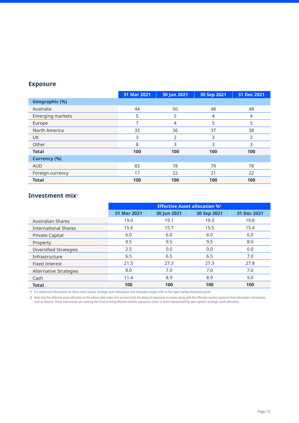|                       | 31 Mar 2021 | 30 Jun 2021 | 30 Sep 2021 | 31 Dec 2021 |
|-----------------------|-------------|-------------|-------------|-------------|
| <b>Geographic (%)</b> |             |             |             |             |
| Australia             | 44          | 50          | 48          | 48          |
| Emerging markets      | 5           | 5           | 4           | 4           |
| Europe                | 7           | 4           | 5           | 5           |
| North America         | 33          | 36          | 37          | 38          |
| <b>UK</b>             | 3           | 2           | 3           | 2           |
| Other                 | 8           | 3           | 3           | 3           |
| <b>Total</b>          | 100         | 100         | 100         | 100         |
| <b>Currency (%)</b>   |             |             |             |             |
| <b>AUD</b>            | 83          | 78          | 79          | 78          |
| Foreign currency      | 17          | 22          | 21          | 22          |
| <b>Total</b>          | 100         | 100         | 100         | 100         |

#### **Investment mix1**

|                               | <b>Effective Asset allocation %2</b> |             |             |             |
|-------------------------------|--------------------------------------|-------------|-------------|-------------|
|                               | 31 Mar 2021                          | 30 Jun 2021 | 30 Sep 2021 | 31 Dec 2021 |
| Australian Shares             | 19.0                                 | 19.1        | 19.3        | 19.8        |
| <b>International Shares</b>   | 15.6                                 | 15.7        | 15.5        | 15.4        |
| <b>Private Capital</b>        | 6.0                                  | 6.0         | 6.0         | 6.0         |
| Property                      | 9.5                                  | 9.5         | 9.5         | 8.0         |
| <b>Diversified Strategies</b> | 2.5                                  | 0.0         | 0.0         | 0.0         |
| Infrastructure                | 6.5                                  | 6.5         | 6.5         | 7.0         |
| <b>Fixed Interest</b>         | 21.5                                 | 27.3        | 27.3        | 27.8        |
| Alternative Strategies        | 8.0                                  | 7.0         | 7.0         | 7.0         |
| Cash                          | 11.4                                 | 8.9         | 8.9         | 9.0         |
| <b>Total</b>                  | 100                                  | 100         | 100         | 100         |

**1** For additional information on these asset classes, strategic asset allocations and allowable ranges refer to the *Super Savings Investment guide*.

**2** Note that the effective asset allocation in the above table takes into account both the physical exposures to assets along with the effective market exposure from derivative instruments such as futures. These instruments are used by the Fund to bring effective market exposures closer to those represented by each option's strategic asset allocation.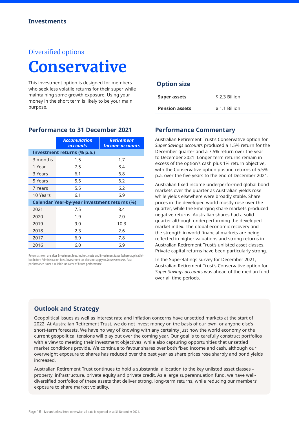#### Diversified options

# **Conservative**

This investment option is designed for members who seek less volatile returns for their super while maintaining some growth exposure. Using your money in the short term is likely to be your main purpose.

|          | <b>Accumulation</b><br>accounts                     | <b>Retirement</b><br><b>Income accounts</b> |
|----------|-----------------------------------------------------|---------------------------------------------|
|          | Investment returns (% p.a.)                         |                                             |
| 3 months | 1.5                                                 | 1.7                                         |
| 1 Year   | 7.5                                                 | 8.4                                         |
| 3 Years  | 6.1                                                 | 6.8                                         |
| 5 Years  | 5.5                                                 | 6.2                                         |
| 7 Years  | 5.5                                                 | 6.2                                         |
| 10 Years | 6.1                                                 | 6.9                                         |
|          | <b>Calendar Year-by-year investment returns (%)</b> |                                             |
| 2021     | 7.5                                                 | 8.4                                         |
| 2020     | 1.9                                                 | 2.0                                         |
| 2019     | 9.0                                                 | 10.3                                        |
| 2018     | 2.3                                                 | 2.6                                         |
| 2017     | 6.9                                                 | 7.8                                         |
| 2016     | 6.0                                                 | 6.9                                         |

**Performance to 31 December 2021**

Returns shown are after Investment fees, indirect costs and investment taxes (where applicable) but before Administration fees. Investment tax does not apply to *Income accounts*. Past performance is not a reliable indicator of future performance.

#### **Option size**

| Super assets          | \$2.3 Billion |
|-----------------------|---------------|
| <b>Pension assets</b> | \$1.1 Billion |

#### **Performance Commentary**

Australian Retirement Trust's Conservative option for *Super Savings account*s produced a 1.5% return for the December quarter and a 7.5% return over the year to December 2021. Longer term returns remain in excess of the option's cash plus 1% return objective, with the Conservative option posting returns of 5.5% p.a. over the five years to the end of December 2021.

Australian fixed income underperformed global bond markets over the quarter as Australian yields rose while yields elsewhere were broadly stable. Share prices in the developed world mostly rose over the quarter, while the Emerging share markets produced negative returns. Australian shares had a solid quarter although underperforming the developed market index. The global economic recovery and the strength in world financial markets are being reflected in higher valuations and strong returns in Australian Retirement Trust's unlisted asset classes. Private capital returns have been particularly strong.

In the SuperRatings survey for December 2021, Australian Retirement Trust's Conservative option for *Super Savings account*s was ahead of the median fund over all time periods.

#### **Outlook and Strategy**

Geopolitical issues as well as interest rate and inflation concerns have unsettled markets at the start of 2022. At Australian Retirement Trust, we do not invest money on the basis of our own, or anyone else's short-term forecasts. We have no way of knowing with any certainty just how the world economy or the current geopolitical tensions will play out over the coming year. Our goal is to carefully construct portfolios with a view to meeting their investment objectives, while also capturing opportunities that unsettled market conditions provide. We continue to favour shares over both fixed income and cash, although our overweight exposure to shares has reduced over the past year as share prices rose sharply and bond yields increased.

Australian Retirement Trust continues to hold a substantial allocation to the key unlisted asset classes – property, infrastructure, private equity and private credit. As a large superannuation fund, we have welldiversified portfolios of these assets that deliver strong, long-term returns, while reducing our members' exposure to share market volatility.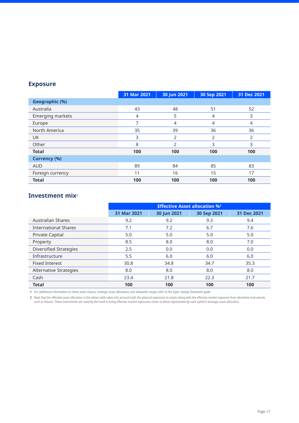|                     | 31 Mar 2021    | 30 Jun 2021   | 30 Sep 2021 | 31 Dec 2021 |
|---------------------|----------------|---------------|-------------|-------------|
| Geographic (%)      |                |               |             |             |
| Australia           | 43             | 48            | 51          | 52          |
| Emerging markets    | $\overline{4}$ | 5             | 4           | 3           |
| Europe              | 7              | 4             | 4           | 4           |
| North America       | 35             | 39            | 36          | 36          |
| <b>UK</b>           | 3              | 2             | 2           | 2           |
| Other               | 8              | $\mathcal{P}$ | 3           | 3           |
| <b>Total</b>        | 100            | 100           | 100         | 100         |
| <b>Currency (%)</b> |                |               |             |             |
| <b>AUD</b>          | 89             | 84            | 85          | 83          |
| Foreign currency    | 11             | 16            | 15          | 17          |
| <b>Total</b>        | 100            | 100           | 100         | 100         |

#### **Investment mix1**

|                               | <b>Effective Asset allocation %2</b> |             |             |             |
|-------------------------------|--------------------------------------|-------------|-------------|-------------|
|                               | 31 Mar 2021                          | 30 Jun 2021 | 30 Sep 2021 | 31 Dec 2021 |
| <b>Australian Shares</b>      | 9.2                                  | 9.2         | 9.3         | 9.4         |
| <b>International Shares</b>   | 7.1                                  | 7.2         | 6.7         | 7.6         |
| Private Capital               | 5.0                                  | 5.0         | 5.0         | 5.0         |
| Property                      | 8.5                                  | 8.0         | 8.0         | 7.0         |
| <b>Diversified Strategies</b> | 2.5                                  | 0.0         | 0.0         | 0.0         |
| Infrastructure                | 5.5                                  | 6.0         | 6.0         | 6.0         |
| <b>Fixed Interest</b>         | 30.8                                 | 34.8        | 34.7        | 35.3        |
| Alternative Strategies        | 8.0                                  | 8.0         | 8.0         | 8.0         |
| Cash                          | 23.4                                 | 21.8        | 22.3        | 21.7        |
| <b>Total</b>                  | 100                                  | 100         | 100         | 100         |

**1** For additional information on these asset classes, strategic asset allocations and allowable ranges refer to the *Super Savings Investment guide*.

**2** Note that the effective asset allocation in the above table takes into account both the physical exposures to assets along with the effective market exposure from derivative instruments such as futures. These instruments are used by the Fund to bring effective market exposures closer to those represented by each option's strategic asset allocation.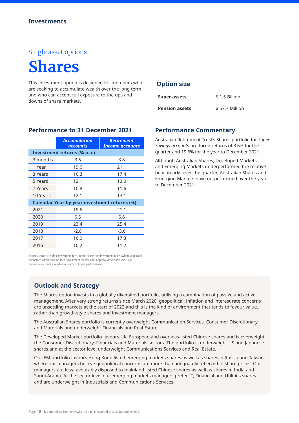# **Shares**

This investment option is designed for members who are seeking to accumulate wealth over the long term and who can accept full exposure to the ups and downs of share markets.

|          | <b>Accumulation</b><br><b>accounts</b>              | <b>Retirement</b><br><b>Income accounts</b> |
|----------|-----------------------------------------------------|---------------------------------------------|
|          | Investment returns (% p.a.)                         |                                             |
| 3 months | 3.6                                                 | 3.8                                         |
| 1 Year   | 19.6                                                | 21.1                                        |
| 3 Years  | 16.3                                                | 17.4                                        |
| 5 Years  | 12.1                                                | 13.0                                        |
| 7 Years  | 10.8                                                | 11.6                                        |
| 10 Years | 12.1                                                | 13.1                                        |
|          | <b>Calendar Year-by-year investment returns (%)</b> |                                             |
| 2021     | 19.6                                                | 21.1                                        |
| 2020     | 6.5                                                 | 6.6                                         |
| 2019     | 23.4                                                | 25.4                                        |
| 2018     | $-2.8$                                              | $-3.0$                                      |
| 2017     | 16.0                                                | 17.3                                        |
| 2016     | 10.2                                                | 11.2                                        |

#### **Performance to 31 December 2021**

#### Returns shown are after Investment fees, indirect costs and investment taxes (where applicable) but before Administration fees. Investment tax does not apply to *Income accounts*. Past performance is not a reliable indicator of future performance.

#### **Outlook and Strategy**

The Shares option invests in a globally diversified portfolio, utilising a combination of passive and active management. After very strong returns since March 2020, geopolitical, inflation and interest rate concerns are unsettling markets at the start of 2022 and this is the kind of environment that tends to favour value, rather than growth-style shares and investment managers.

The Australian Shares portfolio is currently overweight Communication Services, Consumer Discretionary and Materials and underweight Financials and Real Estate.

The Developed Market portfolio favours UK, European and overseas-listed Chinese shares and is overweight the Consumer Discretionary, Financials and Materials sectors. The portfolio is underweight US and Japanese shares and at the sector level underweight Communications Services and Real Estate.

Our EM portfolio favours Hong Kong listed emerging markets shares as well as shares in Russia and Taiwan where our managers believe geopolitical concerns are more than adequately reflected in share prices. Our managers are less favourably disposed to mainland listed Chinese shares as well as shares in India and Saudi Arabia. At the sector level our emerging markets managers prefer IT, Financial and Utilities shares and are underweight in Industrials and Communications Services.

#### **Option size**

| <b>Super assets</b>   | \$1.5 Billion  |  |
|-----------------------|----------------|--|
| <b>Pension assets</b> | \$57.7 Million |  |

#### **Performance Commentary**

Australian Retirement Trust's Shares portfolio for *Super Savings account*s produced returns of 3.6% for the quarter and 19.6% for the year to December 2021.

Although Australian Shares, Developed Markets and Emerging Markets underperformed the relative benchmarks over the quarter, Australian Shares and Emerging Markets have outperformed over the year to December 2021.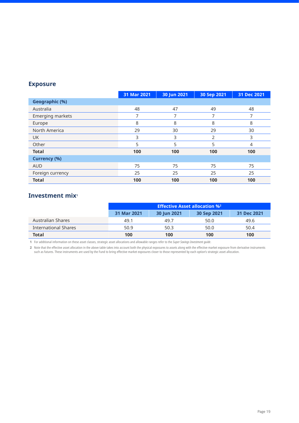|                     | 31 Mar 2021 | 30 Jun 2021 | 30 Sep 2021 | 31 Dec 2021 |
|---------------------|-------------|-------------|-------------|-------------|
| Geographic (%)      |             |             |             |             |
| Australia           | 48          | 47          | 49          | 48          |
| Emerging markets    | 7           | 7           | 7           | 7           |
| Europe              | 8           | 8           | 8           | 8           |
| North America       | 29          | 30          | 29          | 30          |
| <b>UK</b>           | 3           | 3           | 2           | 3           |
| Other               | 5           | 5           | 5           | 4           |
| <b>Total</b>        | 100         | 100         | 100         | 100         |
| <b>Currency (%)</b> |             |             |             |             |
| <b>AUD</b>          | 75          | 75          | 75          | 75          |
| Foreign currency    | 25          | 25          | 25          | 25          |
| <b>Total</b>        | 100         | 100         | 100         | 100         |

#### **Investment mix1**

|                      | <b>Effective Asset allocation %2</b>                     |      |      |      |
|----------------------|----------------------------------------------------------|------|------|------|
|                      | 31 Mar 2021<br>31 Dec 2021<br>30 Sep 2021<br>30 Jun 2021 |      |      |      |
| Australian Shares    | 49.1                                                     | 49.7 | 50.0 | 49.6 |
| International Shares | 50.9                                                     | 50.3 | 50.0 | 50.4 |
| <b>Total</b>         | 100                                                      | 100  | 100  | 100  |

**1** For additional information on these asset classes, strategic asset allocations and allowable ranges refer to the *Super Savings Investment guide*.

**2** Note that the effective asset allocation in the above table takes into account both the physical exposures to assets along with the effective market exposure from derivative instruments such as futures. These instruments are used by the Fund to bring effective market exposures closer to those represented by each option's strategic asset allocation.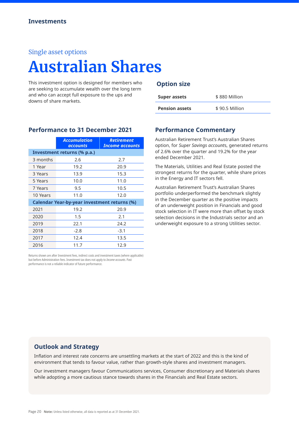# **Australian Shares**

This investment option is designed for members who are seeking to accumulate wealth over the long term and who can accept full exposure to the ups and downs of share markets.

**Performance to 31 December 2021**

|          | <b>Accumulation</b><br><b>accounts</b>              | <b>Retirement</b><br><b>Income accounts</b> |
|----------|-----------------------------------------------------|---------------------------------------------|
|          | Investment returns (% p.a.)                         |                                             |
| 3 months | 2.6                                                 | 2.7                                         |
| 1 Year   | 19.2                                                | 20.9                                        |
| 3 Years  | 13.9                                                | 15.3                                        |
| 5 Years  | 10.0                                                | 11.0                                        |
| 7 Years  | 9.5                                                 | 10.5                                        |
| 10 Years | 11.0                                                | 12.0                                        |
|          | <b>Calendar Year-by-year investment returns (%)</b> |                                             |
| 2021     | 19.2                                                | 20.9                                        |
| 2020     | 1.5                                                 | 2.1                                         |
| 2019     | 22.1                                                | 24.2                                        |
| 2018     | $-2.8$                                              | $-3.1$                                      |
| 2017     | 12.4                                                | 13.5                                        |
| 2016     | 11.7                                                | 12.9                                        |

Returns shown are after Investment fees, indirect costs and investment taxes (where applicable) but before Administration fees. Investment tax does not apply to *Income accounts*. Past performance is not a reliable indicator of future performance.

#### **Option size**

| <b>Super assets</b>   | \$880 Million  |
|-----------------------|----------------|
| <b>Pension assets</b> | \$90.5 Million |

#### **Performance Commentary**

Australian Retirement Trust's Australian Shares option, for *Super Savings account*s, generated returns of 2.6% over the quarter and 19.2% for the year ended December 2021.

The Materials, Utilities and Real Estate posted the strongest returns for the quarter, while share prices in the Energy and IT sectors fell.

Australian Retirement Trust's Australian Shares portfolio underperformed the benchmark slightly in the December quarter as the positive impacts of an underweight position in Financials and good stock selection in IT were more than offset by stock selection decisions in the Industrials sector and an underweight exposure to a strong Utilities sector.

#### **Outlook and Strategy**

Inflation and interest rate concerns are unsettling markets at the start of 2022 and this is the kind of environment that tends to favour value, rather than growth-style shares and investment managers.

Our investment managers favour Communications services, Consumer discretionary and Materials shares while adopting a more cautious stance towards shares in the Financials and Real Estate sectors.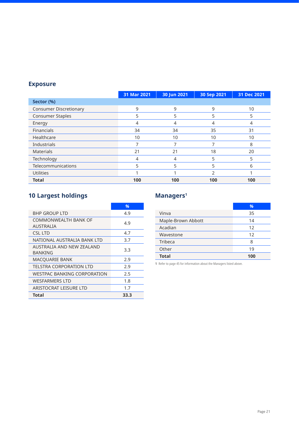|                               | 31 Mar 2021 | 30 Jun 2021 | 30 Sep 2021 | 31 Dec 2021 |
|-------------------------------|-------------|-------------|-------------|-------------|
| Sector (%)                    |             |             |             |             |
| <b>Consumer Discretionary</b> | 9           | 9           | 9           | 10          |
| <b>Consumer Staples</b>       | 5           | 5           | 5           | 5           |
| Energy                        | 4           | 4           |             | 4           |
| <b>Financials</b>             | 34          | 34          | 35          | 31          |
| Healthcare                    | 10          | 10          | 10          | 10          |
| Industrials                   |             |             |             | 8           |
| <b>Materials</b>              | 21          | 21          | 18          | 20          |
| Technology                    | 4           | 4           | 5           | 5           |
| Telecommunications            | 5           | 5           | 5           | 6           |
| <b>Utilities</b>              |             |             | า           |             |
| <b>Total</b>                  | 100         | 100         | 100         | 100         |

## **10 Largest holdings**

|                                    | %    |
|------------------------------------|------|
| BHP GROUP LTD                      | 4.9  |
| COMMONWEAI TH BANK OF              | 4.9  |
| AUSTRALIA                          |      |
| CSL LTD                            | 4.7  |
| NATIONAL AUSTRALIA BANK LTD        | 3.7  |
| AUSTRALIA AND NEW ZEALAND          | 3.3  |
| BANKING                            |      |
| <b>MACQUARIE BANK</b>              | 2.9  |
| <b>TELSTRA CORPORATION LTD</b>     | 2.9  |
| <b>WESTPAC BANKING CORPORATION</b> | 2.5  |
| <b>WESFARMERS LTD</b>              | 1.8  |
| ARISTOCRAT LEISURE LTD             | 1.7  |
| Total                              | 33.3 |

### **Managers1**

|                    | %   |
|--------------------|-----|
| Vinva              | 35  |
| Maple-Brown Abbott | 14  |
| Acadian            | 12  |
| Wavestone          | 12  |
| Tribeca            | 8   |
| Other              | 19  |
| <b>Total</b>       | 100 |

**1** Refer to page 45 for information about the Managers listed above.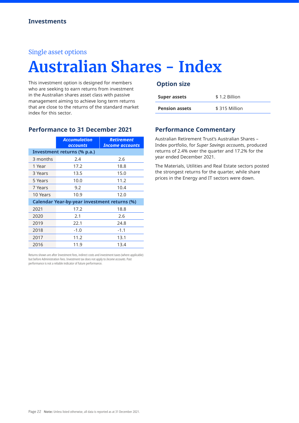# **Australian Shares - Index**

This investment option is designed for members who are seeking to earn returns from investment in the Australian shares asset class with passive management aiming to achieve long term returns that are close to the returns of the standard market index for this sector.

|                                                     | <b>Accumulation</b><br>accounts | <b>Retirement</b><br>Income accounts |
|-----------------------------------------------------|---------------------------------|--------------------------------------|
|                                                     | Investment returns (% p.a.)     |                                      |
| 3 months                                            | 2.4                             | 2.6                                  |
| 1 Year                                              | 17.2                            | 18.8                                 |
| 3 Years                                             | 13.5                            | 15.0                                 |
| 5 Years                                             | 10.0                            | 11.2                                 |
| 7 Years                                             | 9.2                             | 10.4                                 |
| 10 Years                                            | 10.9                            | 12.0                                 |
| <b>Calendar Year-by-year investment returns (%)</b> |                                 |                                      |
| 2021                                                | 17.2                            | 18.8                                 |
| 2020                                                | 2.1                             | 2.6                                  |
| 2019                                                | 22.1                            | 24.8                                 |
| 2018                                                | $-1.0$                          | $-1.1$                               |
| 2017                                                | 11.2                            | 13.1                                 |
| 2016                                                | 11.9                            | 13.4                                 |

**Performance to 31 December 2021**

Returns shown are after Investment fees, indirect costs and investment taxes (where applicable) but before Administration fees. Investment tax does not apply to *Income accounts*. Past performance is not a reliable indicator of future performance.

#### **Option size**

| <b>Super assets</b>   | \$1.2 Billion |
|-----------------------|---------------|
| <b>Pension assets</b> | \$315 Million |

#### **Performance Commentary**

Australian Retirement Trust's Australian Shares – Index portfolio, for *Super Savings account*s, produced returns of 2.4% over the quarter and 17.2% for the year ended December 2021.

The Materials, Utilities and Real Estate sectors posted the strongest returns for the quarter, while share prices in the Energy and IT sectors were down.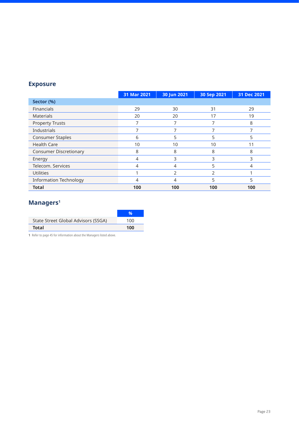|                               | 31 Mar 2021 | 30 Jun 2021 | 30 Sep 2021 | 31 Dec 2021 |
|-------------------------------|-------------|-------------|-------------|-------------|
| Sector (%)                    |             |             |             |             |
| <b>Financials</b>             | 29          | 30          | 31          | 29          |
| <b>Materials</b>              | 20          | 20          | 17          | 19          |
| <b>Property Trusts</b>        | ⇁           | ⇁           |             | 8           |
| Industrials                   | ⇁           |             |             |             |
| <b>Consumer Staples</b>       | 6           | 5           | 5           | 5           |
| <b>Health Care</b>            | 10          | 10          | 10          | 11          |
| <b>Consumer Discretionary</b> | 8           | 8           | 8           | 8           |
| Energy                        | 4           | 3           | 3           | 3           |
| Telecom, Services             | 4           | 4           | 5           | 4           |
| <b>Utilities</b>              |             | 2           | 2           |             |
| <b>Information Technology</b> |             | 4           |             | 5           |
| <b>Total</b>                  | 100         | 100         | 100         | 100         |

# **Managers1**

| State Street Global Advisors (SSGA) | 100 |
|-------------------------------------|-----|
| <b>Total</b>                        | 100 |

**1** Refer to page 45 for information about the Managers listed above.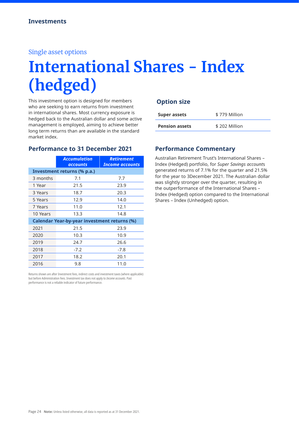# **International Shares - Index (hedged)**

This investment option is designed for members who are seeking to earn returns from investment in international shares. Most currency exposure is hedged back to the Australian dollar and some active management is employed, aiming to achieve better long term returns than are available in the standard market index.

#### **Performance to 31 December 2021**

|                                                     | <b>Accumulation</b><br><b>accounts</b> | <b>Retirement</b><br><b>Income accounts</b> |
|-----------------------------------------------------|----------------------------------------|---------------------------------------------|
|                                                     | Investment returns (% p.a.)            |                                             |
| 3 months                                            | 7.1                                    | 7.7                                         |
| 1 Year                                              | 21.5                                   | 23.9                                        |
| 3 Years                                             | 18.7                                   | 20.3                                        |
| 5 Years                                             | 12.9                                   | 14.0                                        |
| 7 Years                                             | 11.0                                   | 12.1                                        |
| 10 Years                                            | 13.3                                   | 14.8                                        |
| <b>Calendar Year-by-year investment returns (%)</b> |                                        |                                             |
| 2021                                                | 21.5                                   | 23.9                                        |
| 2020                                                | 10.3                                   | 10.9                                        |
| 2019                                                | 24.7                                   | 26.6                                        |
| 2018                                                | $-7.2$                                 | $-7.8$                                      |
| 2017                                                | 18.2                                   | 20.1                                        |
| 2016                                                | 9.8                                    | 11.0                                        |

Returns shown are after Investment fees, indirect costs and investment taxes (where applicable) but before Administration fees. Investment tax does not apply to *Income accounts*. Past performance is not a reliable indicator of future performance.

#### **Option size**

| <b>Super assets</b>   | \$779 Million |
|-----------------------|---------------|
| <b>Pension assets</b> | \$202 Million |

#### **Performance Commentary**

Australian Retirement Trust's International Shares – Index (Hedged) portfolio, for *Super Savings account*s generated returns of 7.1% for the quarter and 21.5% for the year to 3December 2021. The Australian dollar was slightly stronger over the quarter, resulting in the outperformance of the International Shares – Index (Hedged) option compared to the International Shares – Index (Unhedged) option.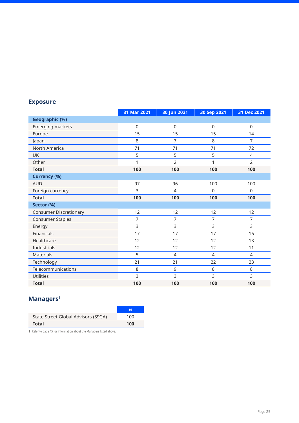|                               | 31 Mar 2021 | 30 Jun 2021    | 30 Sep 2021    | 31 Dec 2021    |
|-------------------------------|-------------|----------------|----------------|----------------|
| <b>Geographic (%)</b>         |             |                |                |                |
| Emerging markets              | $\mathsf 0$ | $\mathbf 0$    | $\mathsf 0$    | $\mathsf 0$    |
| Europe                        | 15          | 15             | 15             | 14             |
| Japan                         | 8           | $\overline{7}$ | 8              | $\overline{7}$ |
| North America                 | 71          | 71             | 71             | 72             |
| <b>UK</b>                     | 5           | 5              | 5              | $\overline{4}$ |
| Other                         | 1           | $\overline{2}$ | 1              | $\overline{2}$ |
| <b>Total</b>                  | 100         | 100            | 100            | 100            |
| <b>Currency (%)</b>           |             |                |                |                |
| <b>AUD</b>                    | 97          | 96             | 100            | 100            |
| Foreign currency              | 3           | $\overline{4}$ | $\Omega$       | $\Omega$       |
| <b>Total</b>                  | 100         | 100            | 100            | 100            |
| Sector (%)                    |             |                |                |                |
| <b>Consumer Discretionary</b> | 12          | 12             | 12             | 12             |
| <b>Consumer Staples</b>       | 7           | $\overline{7}$ | 7              | $\overline{7}$ |
| Energy                        | 3           | 3              | 3              | 3              |
| Financials                    | 17          | 17             | 17             | 16             |
| Healthcare                    | 12          | 12             | 12             | 13             |
| Industrials                   | 12          | 12             | 12             | 11             |
| Materials                     | 5           | $\overline{4}$ | $\overline{4}$ | $\overline{4}$ |
| Technology                    | 21          | 21             | 22             | 23             |
| Telecommunications            | 8           | 9              | 8              | 8              |
| <b>Utilities</b>              | 3           | $\overline{3}$ | 3              | 3              |
| <b>Total</b>                  | 100         | 100            | 100            | 100            |

# **Managers1**

| State Street Global Advisors (SSGA) | 100 |
|-------------------------------------|-----|
| <b>Total</b>                        | 100 |

**1** Refer to page 45 for information about the Managers listed above.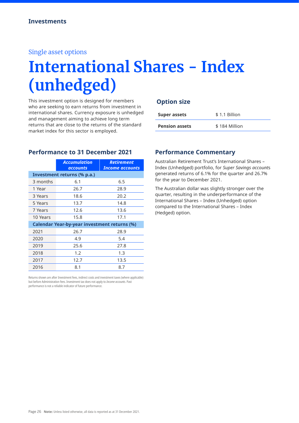# **International Shares - Index (unhedged)**

This investment option is designed for members who are seeking to earn returns from investment in international shares. Currency exposure is unhedged and management aiming to achieve long term returns that are close to the returns of the standard market index for this sector is employed.

#### **Option size**

| Super assets          | \$1.1 Billion |
|-----------------------|---------------|
| <b>Pension assets</b> | \$184 Million |

#### **Performance to 31 December 2021**

|                                                     | <b>Accumulation</b><br><b>accounts</b> | <b>Retirement</b><br><b>Income accounts</b> |
|-----------------------------------------------------|----------------------------------------|---------------------------------------------|
|                                                     | Investment returns (% p.a.)            |                                             |
| 3 months                                            | 6.1                                    | 6.5                                         |
| 1 Year                                              | 26.7                                   | 28.9                                        |
| 3 Years                                             | 18.6                                   | 20.2                                        |
| 5 Years                                             | 13.7                                   | 14.8                                        |
| 7 Years                                             | 12.6                                   | 13.6                                        |
| 10 Years                                            | 15.8                                   | 17.1                                        |
| <b>Calendar Year-by-year investment returns (%)</b> |                                        |                                             |
| 2021                                                | 26.7                                   | 28.9                                        |
| 2020                                                | 4.9                                    | 5.4                                         |
| 2019                                                | 25.6                                   | 27.8                                        |
| 2018                                                | 1.2                                    | 1.3                                         |
| 2017                                                | 12.7                                   | 13.5                                        |
| 2016                                                | 8.1                                    | 8.7                                         |

Returns shown are after Investment fees, indirect costs and investment taxes (where applicable) but before Administration fees. Investment tax does not apply to *Income accounts*. Past performance is not a reliable indicator of future performance.

#### **Performance Commentary**

Australian Retirement Trust's International Shares – Index (Unhedged) portfolio, for *Super Savings account*s generated returns of 6.1% for the quarter and 26.7% for the year to December 2021.

The Australian dollar was slightly stronger over the quarter, resulting in the underperformance of the International Shares – Index (Unhedged) option compared to the International Shares – Index (Hedged) option.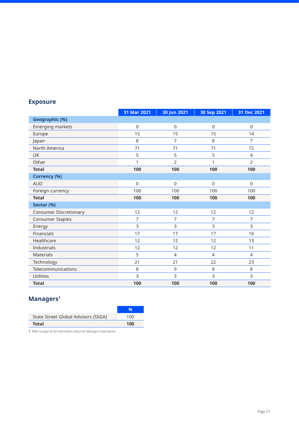|                               | 31 Mar 2021    | 30 Jun 2021    | 30 Sep 2021    | 31 Dec 2021    |
|-------------------------------|----------------|----------------|----------------|----------------|
| <b>Geographic (%)</b>         |                |                |                |                |
| Emerging markets              | $\Omega$       | $\mathsf 0$    | $\mathsf 0$    | $\mathsf 0$    |
| Europe                        | 15             | 15             | 15             | 14             |
| Japan                         | 8              | $\overline{7}$ | 8              | $\overline{7}$ |
| North America                 | 71             | 71             | 71             | 72             |
| <b>UK</b>                     | 5              | 5              | 5              | $\overline{4}$ |
| Other                         | 1              | 2              | 1              | $\overline{2}$ |
| <b>Total</b>                  | 100            | 100            | 100            | 100            |
| <b>Currency (%)</b>           |                |                |                |                |
| <b>AUD</b>                    | $\Omega$       | $\Omega$       | $\Omega$       | $\Omega$       |
| Foreign currency              | 100            | 100            | 100            | 100            |
| <b>Total</b>                  | 100            | 100            | 100            | 100            |
| Sector (%)                    |                |                |                |                |
| <b>Consumer Discretionary</b> | 12             | 12             | 12             | 12             |
| <b>Consumer Staples</b>       | $\overline{7}$ | 7              | $\overline{7}$ | $\overline{7}$ |
| Energy                        | 3              | 3              | 3              | 3              |
| Financials                    | 17             | 17             | 17             | 16             |
| Healthcare                    | 12             | 12             | 12             | 13             |
| Industrials                   | 12             | 12             | 12             | 11             |
| <b>Materials</b>              | 5              | $\overline{4}$ | $\overline{4}$ | $\overline{4}$ |
| Technology                    | 21             | 21             | 22             | 23             |
| Telecommunications            | 8              | 9              | 8              | 8              |
| <b>Utilities</b>              | 3              | 3              | 3              | 3              |
| <b>Total</b>                  | 100            | 100            | 100            | 100            |

## **Managers1**

| State Street Global Advisors (SSGA) | 100 |
|-------------------------------------|-----|
| <b>Total</b>                        | 100 |

**1** Refer to page 45 for information about the Managers listed above.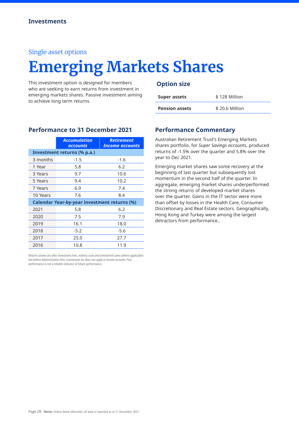# **Emerging Markets Shares**

This investment option is designed for members who are seeking to earn returns from investment in emerging markets shares. Passive investment aiming to achieve long term returns.

#### **Option size**

| <b>Super assets</b>   | \$128 Million  |
|-----------------------|----------------|
| <b>Pension assets</b> | \$20.6 Million |

|                                                     | <b>Accumulation</b><br><b>accounts</b> | <b>Retirement</b><br><b>Income accounts</b> |
|-----------------------------------------------------|----------------------------------------|---------------------------------------------|
|                                                     | Investment returns (% p.a.)            |                                             |
| 3 months                                            | $-1.5$                                 | $-1.6$                                      |
| 1 Year                                              | 5.8                                    | 6.2                                         |
| 3 Years                                             | 9.7                                    | 10.6                                        |
| 5 Years                                             | 9.4                                    | 10.2                                        |
| 7 Years                                             | 6.9                                    | 7.4                                         |
| 10 Years                                            | 7.6                                    | 8.4                                         |
| <b>Calendar Year-by-year investment returns (%)</b> |                                        |                                             |
| 2021                                                | 5.8                                    | 6.2                                         |
| 2020                                                | 7.5                                    | 7.9                                         |
| 2019                                                | 16.1                                   | 18.0                                        |
| 2018                                                | $-5.2$                                 | $-5.6$                                      |
| 2017                                                | 25.0                                   | 27.7                                        |
| 2016                                                | 10.8                                   | 11.9                                        |

Returns shown are after Investment fees, indirect costs and investment taxes (where applicable) but before Administration fees. Investment tax does not apply to *Income accounts*. Past performance is not a reliable indicator of future performance.

#### **Performance Commentary**

Australian Retirement Trust's Emerging Markets shares portfolio, for *Super Savings account*s, produced returns of -1.5% over the quarter and 5.8% over the year to Dec 2021.

Emerging market shares saw some recovery at the beginning of last quarter but subsequently lost momentum in the second half of the quarter. In aggregate, emerging market shares underperformed the strong returns of developed market shares over the quarter. Gains in the IT sector were more than offset by losses in the Health Care, Consumer Discretionary and Real Estate sectors. Geographically, Hong Kong and Turkey were among the largest detractors from performance..

**Performance to 31 December 2021**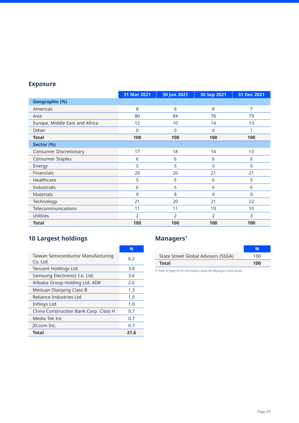|                                | 31 Mar 2021 | 30 Jun 2021 | 30 Sep 2021 | 31 Dec 2021 |
|--------------------------------|-------------|-------------|-------------|-------------|
| <b>Geographic (%)</b>          |             |             |             |             |
| Americas                       | 8           | 6           | 8           | 7           |
| Asia                           | 80          | 84          | 78          | 79          |
| Europe, Middle East and Africa | 12          | 10          | 14          | 13          |
| Other                          | 0           | $\Omega$    | 0           |             |
| <b>Total</b>                   | 100         | 100         | 100         | 100         |
| Sector (%)                     |             |             |             |             |
| <b>Consumer Discretionary</b>  | 17          | 18          | 14          | 13          |
| <b>Consumer Staples</b>        | 6           | 6           | 6           | 6           |
| Energy                         | 5           | 5           | 5           | 5           |
| Financials                     | 20          | 20          | 21          | 21          |
| Healthcare                     | 5           | 5           | 6           | 5           |
| Industrials                    | 6           | 5           | 6           | 6           |
| <b>Materials</b>               | 9           | 8           | 9           | 9           |
| Technology                     | 21          | 20          | 21          | 22          |
| Telecommunications             | 11          | 11          | 10          | 10          |
| Utilities                      | 2           | 2           | 2           | 3           |
| <b>Total</b>                   | 100         | 100         | 100         | 100         |

# **10 Largest holdings**

|                                                | $\frac{9}{6}$ |
|------------------------------------------------|---------------|
| Taiwan Semiconductor Manufacturing<br>Co. Ltd. | 6.2           |
| Tencent Holdings Ltd.                          | 3.8           |
| Samsung Electronics Co. Ltd.                   | 3.6           |
| Alibaba Group Holding Ltd. ADR                 | 2.6           |
| Meituan Dianping Class B                       | 1.3           |
| Reliance Industries Ltd.                       | 1.0           |
| Infosys Ltd.                                   | 1.0           |
| China Construction Bank Corp. Class H          | 0.7           |
| Media Tek Inc                                  | 0.7           |
| ID.com Inc.                                    | 0.7           |
| Total                                          | 21.6          |

## **Managers1**

| 100 |
|-----|
|     |
| 100 |

**1** Refer to page 45 for information about the Managers listed above.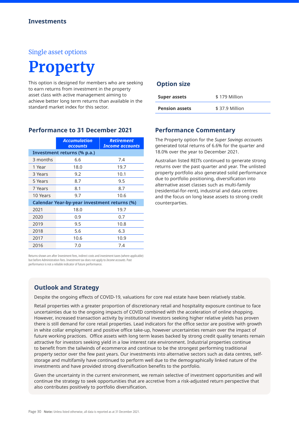# **Property**

This option is designed for members who are seeking to earn returns from investment in the property asset class with active management aiming to achieve better long term returns than available in the standard market index for this sector.

|          | <b>Accumulation</b><br><b>accounts</b>              | <b>Retirement</b><br><b>Income accounts</b> |
|----------|-----------------------------------------------------|---------------------------------------------|
|          | Investment returns (% p.a.)                         |                                             |
| 3 months | 6.6                                                 | 7.4                                         |
| 1 Year   | 18.0                                                | 19.7                                        |
| 3 Years  | 9.2                                                 | 10.1                                        |
| 5 Years  | 8.7                                                 | 9.5                                         |
| 7 Years  | 8.1                                                 | 8.7                                         |
| 10 Years | 9.7                                                 | 10.6                                        |
|          | <b>Calendar Year-by-year investment returns (%)</b> |                                             |
| 2021     | 18.0                                                | 19.7                                        |
| 2020     | 0.9                                                 | 0.7                                         |
| 2019     | 9.5                                                 | 10.8                                        |
| 2018     | 5.6                                                 | 6.3                                         |
| 2017     | 10.6                                                | 10.9                                        |
| 2016     | 7.0                                                 | 7.4                                         |

#### **Performance to 31 December 2021**

#### Returns shown are after Investment fees, indirect costs and investment taxes (where applicable) but before Administration fees. Investment tax does not apply to *Income accounts*. Past performance is not a reliable indicator of future performance.

#### **Option size**

| <b>Super assets</b>   | \$179 Million  |  |
|-----------------------|----------------|--|
| <b>Pension assets</b> | \$37.9 Million |  |

#### **Performance Commentary**

The Property option for the *Super Savings account*s generated total returns of 6.6% for the quarter and 18.0% over the year to December 2021.

Australian listed REITs continued to generate strong returns over the past quarter and year. The unlisted property portfolio also generated solid performance due to portfolio positioning, diversification into alternative asset classes such as multi-family (residential-for-rent), industrial and data centres and the focus on long lease assets to strong credit counterparties.

### **Outlook and Strategy**

Despite the ongoing effects of COVID-19, valuations for core real estate have been relatively stable.

Retail properties with a greater proportion of discretionary retail and hospitality exposure continue to face uncertainties due to the ongoing impacts of COVID combined with the acceleration of online shopping. However, increased transaction activity by institutional investors seeking higher relative yields has proven there is still demand for core retail properties. Lead indicators for the office sector are positive with growth in white collar employment and positive office take-up, however uncertainties remain over the impact of future working practices. Office assets with long term leases backed by strong credit quality tenants remain attractive for investors seeking yield in a low interest rate environment. Industrial properties continue to benefit from the tailwinds of ecommerce and continue to be the strongest performing traditional property sector over the few past years. Our investments into alternative sectors such as data centres, selfstorage and multifamily have continued to perform well due to the demographically linked nature of the investments and have provided strong diversification benefits to the portfolio.

Given the uncertainty in the current environment, we remain selective of investment opportunities and will continue the strategy to seek opportunities that are accretive from a risk-adjusted return perspective that also contributes positively to portfolio diversification.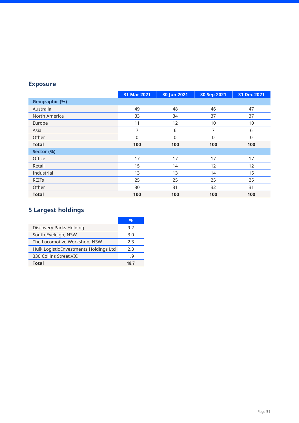|                | 31 Mar 2021 | 30 Jun 2021 | 30 Sep 2021 | 31 Dec 2021 |
|----------------|-------------|-------------|-------------|-------------|
| Geographic (%) |             |             |             |             |
| Australia      | 49          | 48          | 46          | 47          |
| North America  | 33          | 34          | 37          | 37          |
| Europe         | 11          | 12          | 10          | 10          |
| Asia           |             | 6           |             | 6           |
| Other          | $\Omega$    | $\Omega$    | 0           | $\Omega$    |
| <b>Total</b>   | 100         | 100         | 100         | 100         |
| Sector (%)     |             |             |             |             |
| Office         | 17          | 17          | 17          | 17          |
| Retail         | 15          | 14          | 12          | 12          |
| Industrial     | 13          | 13          | 14          | 15          |
| <b>REITs</b>   | 25          | 25          | 25          | 25          |
| Other          | 30          | 31          | 32          | 31          |
| <b>Total</b>   | 100         | 100         | 100         | 100         |

# **5 Largest holdings**

| Discovery Parks Holding                | 9.2  |
|----------------------------------------|------|
| South Eveleigh, NSW                    | 3.0  |
| The Locomotive Workshop, NSW           | 2.3  |
| Hulk Logistic Investments Holdings Ltd | フ3   |
| 330 Collins Street, VIC                | 1.9  |
| <b>Total</b>                           | 18.7 |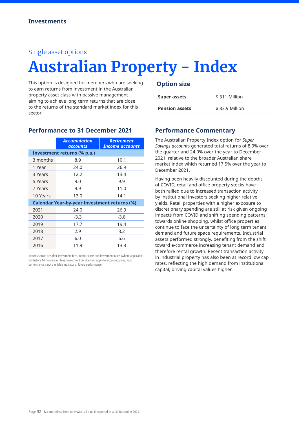# **Australian Property - Index**

This option is designed for members who are seeking to earn returns from investment in the Australian property asset class with passive management aiming to achieve long term returns that are close to the returns of the standard market index for this sector.

|          | <b>Accumulation</b><br>accounts                     | <b>Retirement</b><br><b>Income accounts</b> |  |
|----------|-----------------------------------------------------|---------------------------------------------|--|
|          | Investment returns (% p.a.)                         |                                             |  |
| 3 months | 8.9                                                 | 10.1                                        |  |
| 1 Year   | 24.0                                                | 26.9                                        |  |
| 3 Years  | 12.2                                                | 13.4                                        |  |
| 5 Years  | 9.0                                                 | 9.9                                         |  |
| 7 Years  | 9.9                                                 | 11.0                                        |  |
| 10 Years | 13.0                                                | 14.1                                        |  |
|          | <b>Calendar Year-by-year investment returns (%)</b> |                                             |  |
| 2021     | 24.0                                                | 26.9                                        |  |
| 2020     | $-3.3$                                              | $-3.8$                                      |  |
| 2019     | 17.7                                                | 19.4                                        |  |
| 2018     | 2.9                                                 | 3.2                                         |  |
| 2017     | 6.0                                                 | 6.6                                         |  |
| 2016     | 11.9                                                | 13.3                                        |  |

**Performance to 31 December 2021**

Returns shown are after Investment fees, indirect costs and investment taxes (where applicable) but before Administration fees. Investment tax does not apply to *Income accounts*. Past performance is not a reliable indicator of future performance.

#### **Option size**

| Super assets          | \$311 Million  |
|-----------------------|----------------|
| <b>Pension assets</b> | \$83.9 Million |

#### **Performance Commentary**

The Australian Property Index option for *Super Savings account*s generated total returns of 8.9% over the quarter and 24.0% over the year to December 2021, relative to the broader Australian share market index which returned 17.5% over the year to December 2021.

Having been heavily discounted during the depths of COVID, retail and office property stocks have both rallied due to increased transaction activity by institutional investors seeking higher relative yields. Retail properties with a higher exposure to discretionary spending are still at risk given ongoing impacts from COVID and shifting spending patterns towards online shopping, whilst office properties continue to face the uncertainty of long term tenant demand and future space requirements. Industrial assets performed strongly, benefiting from the shift toward e-commerce increasing tenant demand and therefore rental growth. Recent transaction activity in industrial property has also been at record low cap rates, reflecting the high demand from institutional capital, driving capital values higher.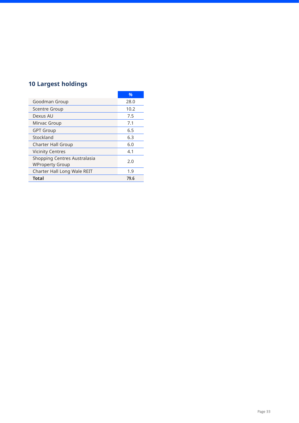## **10 Largest holdings**

|                                                        | $\frac{0}{0}$ |
|--------------------------------------------------------|---------------|
| Goodman Group                                          | 28.0          |
| <b>Scentre Group</b>                                   | 10.2          |
| Dexus AU                                               | 7.5           |
| Mirvac Group                                           | 7.1           |
| <b>GPT Group</b>                                       | 6.5           |
| Stockland                                              | 6.3           |
| <b>Charter Hall Group</b>                              | 6.0           |
| <b>Vicinity Centres</b>                                | 4.1           |
| Shopping Centres Australasia<br><b>WProperty Group</b> | 2.0           |
| Charter Hall Long Wale REIT                            | 1.9           |
| <b>Total</b>                                           | 79.6          |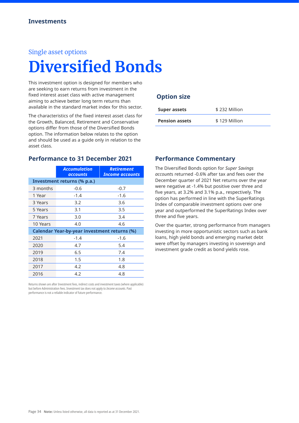# **Diversified Bonds**

This investment option is designed for members who are seeking to earn returns from investment in the fixed interest asset class with active management aiming to achieve better long term returns than available in the standard market index for this sector.

The characteristics of the fixed interest asset class for the Growth, Balanced, Retirement and Conservative options differ from those of the Diversified Bonds option. The information below relates to the option and should be used as a guide only in relation to the asset class.

#### **Performance to 31 December 2021**

|                                                     | <b>Accumulation</b><br>accounts | <b>Retirement</b><br>Income accounts |
|-----------------------------------------------------|---------------------------------|--------------------------------------|
|                                                     | Investment returns (% p.a.)     |                                      |
| 3 months                                            | $-0.6$                          | $-0.7$                               |
| 1 Year                                              | $-1.4$                          | $-1.6$                               |
| 3 Years                                             | 3.2                             | 3.6                                  |
| 5 Years                                             | 3.1                             | 3.5                                  |
| 7 Years                                             | 3.0                             | 3.4                                  |
| 10 Years                                            | 4.0                             | 4.6                                  |
| <b>Calendar Year-by-year investment returns (%)</b> |                                 |                                      |
| 2021                                                | $-1.4$                          | $-1.6$                               |
| 2020                                                | 4.7                             | 5.4                                  |
| 2019                                                | 6.5                             | 7.4                                  |
| 2018                                                | 1.5                             | 1.8                                  |
| 2017                                                | 4.2                             | 4.8                                  |
| 2016                                                | 4.2                             | 4.8                                  |

Returns shown are after Investment fees, indirect costs and investment taxes (where applicable) but before Administration fees. Investment tax does not apply to *Income accounts*. Past performance is not a reliable indicator of future performance.

#### **Option size**

| <b>Super assets</b>   | \$232 Million |
|-----------------------|---------------|
| <b>Pension assets</b> | \$129 Million |
|                       |               |

#### **Performance Commentary**

The Diversified Bonds option for *Super Savings account*s returned -0.6% after tax and fees over the December quarter of 2021 Net returns over the year were negative at -1.4% but positive over three and five years, at 3.2% and 3.1% p.a., respectively. The option has performed in line with the SuperRatings Index of comparable investment options over one year and outperformed the SuperRatings Index over three and five years.

Over the quarter, strong performance from managers investing in more opportunistic sectors such as bank loans, high yield bonds and emerging market debt were offset by managers investing in sovereign and investment grade credit as bond yields rose.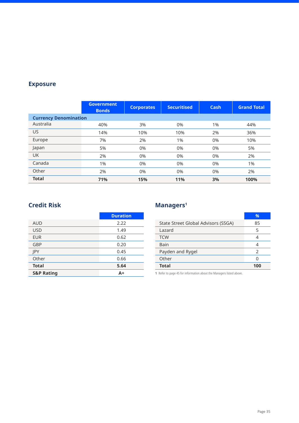|                              | <b>Government</b><br><b>Bonds</b> | <b>Corporates</b> | <b>Securitised</b> | Cash  | <b>Grand Total</b> |
|------------------------------|-----------------------------------|-------------------|--------------------|-------|--------------------|
| <b>Currency Denomination</b> |                                   |                   |                    |       |                    |
| Australia                    | 40%                               | 3%                | 0%                 | 1%    | 44%                |
| US                           | 14%                               | 10%               | 10%                | 2%    | 36%                |
| Europe                       | 7%                                | 2%                | 1%                 | $0\%$ | 10%                |
| Japan                        | 5%                                | 0%                | 0%                 | 0%    | 5%                 |
| <b>UK</b>                    | 2%                                | 0%                | 0%                 | 0%    | 2%                 |
| Canada                       | 1%                                | 0%                | 0%                 | 0%    | 1%                 |
| Other                        | 2%                                | 0%                | 0%                 | 0%    | 2%                 |
| <b>Total</b>                 | 71%                               | 15%               | 11%                | 3%    | 100%               |

### **Credit Risk**

|                       | <b>Duration</b> |
|-----------------------|-----------------|
| <b>AUD</b>            | 2.22            |
| <b>USD</b>            | 1.49            |
| <b>EUR</b>            | 0.62            |
| GBP                   | 0.20            |
| <b>IPY</b>            | 0.45            |
| Other                 | 0.66            |
| <b>Total</b>          | 5.64            |
| <b>S&amp;P Rating</b> | A+              |

## **Managers1**

|                                     | %             |
|-------------------------------------|---------------|
| State Street Global Advisors (SSGA) | 85            |
| Lazard                              | 5             |
| <b>TCW</b>                          | 4             |
| Bain                                |               |
| Payden and Rygel                    | $\mathcal{P}$ |
| Other                               |               |
| <b>Total</b>                        | 100           |

**1** Refer to page 45 for information about the Managers listed above.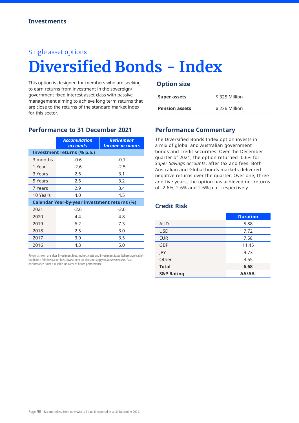# **Diversified Bonds - Index**

This option is designed for members who are seeking to earn returns from investment in the sovereign/ government fixed interest asset class with passive management aiming to achieve long term returns that are close to the returns of the standard market index for this sector.

|                                                     | <b>Accumulation</b><br>accounts | <b>Retirement</b><br><b>Income accounts</b> |  |  |  |
|-----------------------------------------------------|---------------------------------|---------------------------------------------|--|--|--|
| Investment returns (% p.a.)                         |                                 |                                             |  |  |  |
| 3 months                                            | $-0.6$                          | $-0.7$                                      |  |  |  |
| 1 Year                                              | $-2.6$                          | $-2.5$                                      |  |  |  |
| 3 Years                                             | 2.6                             | 3.1                                         |  |  |  |
| 5 Years                                             | 2.6                             | 3.2                                         |  |  |  |
| 7 Years                                             | 2.9                             | 3.4                                         |  |  |  |
| 10 Years                                            | 4.0                             | 4.5                                         |  |  |  |
| <b>Calendar Year-by-year investment returns (%)</b> |                                 |                                             |  |  |  |
| 2021                                                | $-2.6$                          | $-2.6$                                      |  |  |  |
| 2020                                                | 4.4                             | 4.8                                         |  |  |  |
| 2019                                                | 6.2                             | 7.3                                         |  |  |  |
| 2018                                                | 2.5                             | 3.0                                         |  |  |  |
| 2017                                                | 3.0                             | 3.5                                         |  |  |  |
| 2016                                                | 4.3                             | 5.0                                         |  |  |  |

Returns shown are after Investment fees, indirect costs and investment taxes (where applicable) but before Administration fees. Investment tax does not apply to *Income accounts*. Past performance is not a reliable indicator of future performance.

#### **Option size**

| <b>Super assets</b>   | \$325 Million |
|-----------------------|---------------|
| <b>Pension assets</b> | \$236 Million |

#### **Performance Commentary**

The Diversified Bonds Index option invests in a mix of global and Australian government bonds and credit securities. Over the December quarter of 2021, the option returned -0.6% for *Super Savings account*s, after tax and fees. Both Australian and Global bonds markets delivered negative returns over the quarter. Over one, three and five years, the option has achieved net returns of -2.6%, 2.6% and 2.6% p.a., respectively.

#### **Credit Risk**

|                       | <b>Duration</b> |
|-----------------------|-----------------|
| <b>AUD</b>            | 5.88            |
| <b>USD</b>            | 7.72            |
| <b>EUR</b>            | 7.58            |
| GBP                   | 11.45           |
| <b>IPY</b>            | 9.73            |
| Other                 | 3.65            |
| <b>Total</b>          | 6.68            |
| <b>S&amp;P Rating</b> | <b>AA/AA-</b>   |

**Performance to 31 December 2021**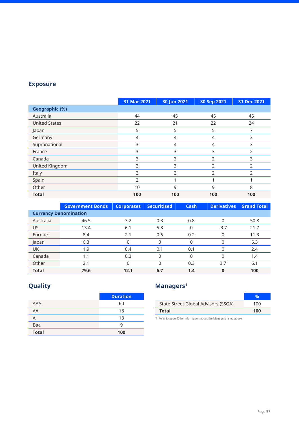|                       | 31 Mar 2021    | 30 Jun 2021 | 30 Sep 2021 | 31 Dec 2021    |
|-----------------------|----------------|-------------|-------------|----------------|
| <b>Geographic (%)</b> |                |             |             |                |
| Australia             | 44             | 45          | 45          | 45             |
| <b>United States</b>  | 22             | 21          | 22          | 24             |
| Japan                 | 5              | 5           | 5           | 7              |
| Germany               | 4              | 4           | 4           | 3              |
| Supranational         | 3              | 4           | 4           | 3              |
| France                | 3              | 3           | 3           | 2              |
| Canada                | 3              | 3           | 2           | 3              |
| United Kingdom        | $\mathcal{P}$  | 3           | 2           | $\overline{2}$ |
| Italy                 | 2              | 2           | フ           | フ              |
| Spain                 | $\overline{2}$ |             |             |                |
| Other                 | 10             | 9           | 9           | 8              |
| <b>Total</b>          | 100            | 100         | 100         | 100            |

|              | <b>Government Bonds</b>      | <b>Corporates</b> | <b>Securitised</b> | <b>Cash</b> | <b>Derivatives</b> | <b>Grand Total</b> |
|--------------|------------------------------|-------------------|--------------------|-------------|--------------------|--------------------|
|              | <b>Currency Denomination</b> |                   |                    |             |                    |                    |
| Australia    | 46.5                         | 3.2               | 0.3                | 0.8         | 0                  | 50.8               |
| US           | 13.4                         | 6.1               | 5.8                | 0           | $-3.7$             | 21.7               |
| Europe       | 8.4                          | 2.1               | 0.6                | 0.2         | 0                  | 11.3               |
| Japan        | 6.3                          | 0                 | 0                  | 0           | 0                  | 6.3                |
| <b>UK</b>    | 1.9                          | 0.4               | 0.1                | 0.1         | 0                  | 2.4                |
| Canada       | 1.1                          | 0.3               | 0                  | 0           | 0                  | 1.4                |
| Other        | 2.1                          | $\Omega$          | 0                  | 0.3         | 3.7                | 6.1                |
| <b>Total</b> | 79.6                         | 12.1              | 6.7                | 1.4         | 0                  | 100                |

# **Quality**

|              | <b>Duration</b> |
|--------------|-----------------|
| <b>AAA</b>   | 60              |
| AA           | 18              |
| A            | 13              |
| Baa          | q               |
| <b>Total</b> | 100             |

# **Managers1**

| State Street Global Advisors (SSGA) | 100 |
|-------------------------------------|-----|
| Total                               | 100 |
|                                     |     |

**1** Refer to page 45 for information about the Managers listed above.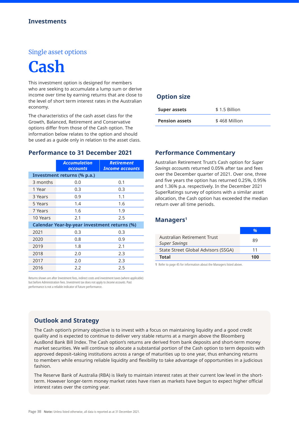# **Cash**

This investment option is designed for members who are seeking to accumulate a lump sum or derive income over time by earning returns that are close to the level of short term interest rates in the Australian economy.

The characteristics of the cash asset class for the Growth, Balanced, Retirement and Conservative options differ from those of the Cash option. The information below relates to the option and should be used as a guide only in relation to the asset class.

#### **Performance to 31 December 2021**

|                                                     | <b>Accumulation</b><br><b>accounts</b> | <b>Retirement</b><br><b>Income accounts</b> |  |  |  |
|-----------------------------------------------------|----------------------------------------|---------------------------------------------|--|--|--|
| Investment returns (% p.a.)                         |                                        |                                             |  |  |  |
| 3 months                                            | 0.0                                    | 0.1                                         |  |  |  |
| 1 Year                                              | 0.3                                    | 0.3                                         |  |  |  |
| 3 Years                                             | 0.9                                    | 1.1                                         |  |  |  |
| 5 Years                                             | 1.4                                    | 1.6                                         |  |  |  |
| 7 Years                                             | 1.6                                    | 1.9                                         |  |  |  |
| 10 Years                                            | 2.1                                    | 2.5                                         |  |  |  |
| <b>Calendar Year-by-year investment returns (%)</b> |                                        |                                             |  |  |  |
| 2021                                                | 0.3                                    | 0.3                                         |  |  |  |
| 2020                                                | 0.8                                    | 0.9                                         |  |  |  |
| 2019                                                | 1.8                                    | 2.1                                         |  |  |  |
| 2018                                                | 2.0                                    | 2.3                                         |  |  |  |
| 2017                                                | 2.0                                    | 2.3                                         |  |  |  |
| 2016                                                | 2.2                                    | 2.5                                         |  |  |  |

Returns shown are after Investment fees, indirect costs and investment taxes (where applicable) but before Administration fees. Investment tax does not apply to *Income accounts*. Past performance is not a reliable indicator of future performance.

#### **Option size**

| <b>Super assets</b>   | \$1.5 Billion |
|-----------------------|---------------|
| <b>Pension assets</b> | \$468 Million |

#### **Performance Commentary**

Australian Retirement Trust's Cash option for *Super Savings account*s returned 0.05% after tax and fees over the December quarter of 2021. Over one, three and five years the option has returned 0.25%, 0.95% and 1.36% p.a. respectively. In the December 2021 SuperRatings survey of options with a similar asset allocation, the Cash option has exceeded the median return over all time periods.

#### **Managers1**

| <b>Total</b>                        | 100 |
|-------------------------------------|-----|
| State Street Global Advisors (SSGA) | 11  |
| <b>Super Savings</b>                | 89  |
| Australian Retirement Trust         |     |
|                                     |     |

**1** Refer to page 45 for information about the Managers listed above.

#### **Outlook and Strategy**

The Cash option's primary objective is to invest with a focus on maintaining liquidity and a good credit quality and is expected to continue to deliver very stable returns at a margin above the Bloomberg AusBond Bank Bill Index. The Cash option's returns are derived from bank deposits and short-term money market securities. We will continue to allocate a substantial portion of the Cash option to term deposits with approved deposit–taking institutions across a range of maturities up to one year, thus enhancing returns to members while ensuring reliable liquidity and flexibility to take advantage of opportunities in a judicious fashion.

The Reserve Bank of Australia (RBA) is likely to maintain interest rates at their current low level in the shortterm. However longer-term money market rates have risen as markets have begun to expect higher official interest rates over the coming year.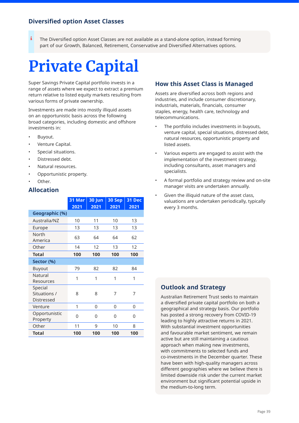#### **Diversified option Asset Classes**

The Diversified option Asset Classes are not available as a stand-alone option, instead forming part of our Growth, Balanced, Retirement, Conservative and Diversified Alternatives options. i

# **Private Capital**

Super Savings Private Capital portfolio invests in a range of assets where we expect to extract a premium return relative to listed equity markets resulting from various forms of private ownership.

Investments are made into mostly illiquid assets on an opportunistic basis across the following broad categories, including domestic and offshore investments in:

- Buyout.
- Venture Capital.
- Special situations.
- Distressed debt.
- Natural resources.
- Opportunistic property.
- Other.

#### **Allocation**

|                                       | 31 Mar<br>2021 | 30 Jun<br>2021 | 30 Sep<br>2021 | 31 Dec<br>2021 |
|---------------------------------------|----------------|----------------|----------------|----------------|
| Geographic (%)                        |                |                |                |                |
| Australia/NZ                          | 10             | 11             | 10             | 13             |
| Europe                                | 13             | 13             | 13             | 13             |
| North<br>America                      | 63             | 64             | 64             | 62             |
| Other                                 | 14             | 12             | 13             | 12             |
| <b>Total</b>                          | 100            | 100            | 100            | 100            |
| Sector (%)                            |                |                |                |                |
| Buyout                                | 79             | 82             | 82             | 84             |
| Natural<br>Resources                  | 1              | 1              | 1              | 1              |
| Special<br>Situations /<br>Distressed | 8              | 8              | 7              | 7              |
| Venture                               | 1              | 0              | 0              | 0              |
| Opportunistic<br>Property             | 0              | 0              | 0              | 0              |
| Other                                 | 11             | 9              | 10             | 8              |
| <b>Total</b>                          | 100            | 100            | 100            | 100            |

#### **How this Asset Class is Managed**

Assets are diversified across both regions and industries, and include consumer discretionary, industrials, materials, financials, consumer staples, energy, health care, technology and telecommunications.

- The portfolio includes investments in buyouts, venture capital, special situations, distressed debt, natural resources, opportunistic property and listed assets.
- Various experts are engaged to assist with the implementation of the investment strategy, including consultants, asset managers and specialists.
- A formal portfolio and strategy review and on-site manager visits are undertaken annually.
- Given the illiquid nature of the asset class, valuations are undertaken periodically, typically every 3 months.

#### **Outlook and Strategy**

Australian Retirement Trust seeks to maintain a diversified private capital portfolio on both a geographical and strategy basis. Our portfolio has posted a strong recovery from COVID-19 leading to highly attractive returns in 2021. With substantial investment opportunities and favourable market sentiment, we remain active but are still maintaining a cautious approach when making new investments, with commitments to selected funds and co-investments in the December quarter. These have been with high-quality managers across different geographies where we believe there is limited downside risk under the current market environment but significant potential upside in the medium-to-long term.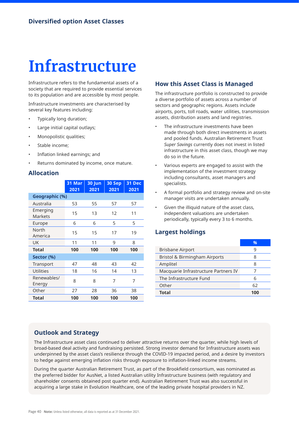# **Infrastructure**

Infrastructure refers to the fundamental assets of a society that are required to provide essential services to its population and are accessible by most people.

Infrastructure investments are characterised by several key features including:

- Typically long duration;
- Large initial capital outlays;
- Monopolistic qualities;
- Stable income:
- Inflation linked earnings; and
- Returns dominated by income, once mature.

#### **Allocation**

|                            | 31 Mar<br>2021 | 30 Jun<br>2021 | 30 Sep<br>2021 | <b>31 Dec</b><br>2021 |
|----------------------------|----------------|----------------|----------------|-----------------------|
| <b>Geographic (%)</b>      |                |                |                |                       |
| Australia                  | 53             | 55             | 57             | 57                    |
| Emerging<br><b>Markets</b> | 15             | 13             | 12             | 11                    |
| Europe                     | 6              | 6              | 5              | 5                     |
| North<br>America           | 15             | 15             | 17             | 19                    |
| UK                         | 11             | 11             | 9              | 8                     |
| <b>Total</b>               | 100            | 100            | 100            | 100                   |
| Sector (%)                 |                |                |                |                       |
| Transport                  | 47             | 48             | 43             | 42                    |
| <b>Utilities</b>           | 18             | 16             | 14             | 13                    |
| Renewables/<br>Energy      | 8              | 8              | 7              | 7                     |
| Other                      | 27             | 28             | 36             | 38                    |
| Total                      | 100            | 100            | 100            | 100                   |

#### **How this Asset Class is Managed**

The infrastructure portfolio is constructed to provide a diverse portfolio of assets across a number of sectors and geographic regions. Assets include airports, ports, toll roads, water utilities, transmission assets, distribution assets and land registries.

- The infrastructure investments have been made through both direct investments in assets and pooled funds. Australian Retirement Trust *Super Savings* currently does not invest in listed infrastructure in this asset class, though we may do so in the future.
- Various experts are engaged to assist with the implementation of the investment strategy including consultants, asset managers and specialists.
- A formal portfolio and strategy review and on-site manager visits are undertaken annually.
- Given the illiquid nature of the asset class, independent valuations are undertaken periodically, typically every 3 to 6 months.

#### **Largest holdings**

|                                      | $\frac{0}{6}$ |
|--------------------------------------|---------------|
| <b>Brisbane Airport</b>              |               |
| Bristol & Birmingham Airports        | 8             |
| Amplitel                             | 8             |
| Macquarie Infrastructure Partners IV |               |
| The Infrastructure Fund              | 6             |
| Other                                | 62            |
| <b>Total</b>                         | 100           |

#### **Outlook and Strategy**

The Infrastructure asset class continued to deliver attractive returns over the quarter, while high levels of broad-based deal activity and fundraising persisted. Strong investor demand for Infrastructure assets was underpinned by the asset class's resilience through the COVID-19 impacted period, and a desire by investors to hedge against emerging inflation risks through exposure to inflation-linked income streams.

During the quarter Australian Retirement Trust, as part of the Brookfield consortium, was nominated as the preferred bidder for AusNet, a listed Australian utility Infrastructure business (with regulatory and shareholder consents obtained post quarter end). Australian Retirement Trust was also successful in acquiring a large stake in Evolution Healthcare, one of the leading private hospital providers in NZ.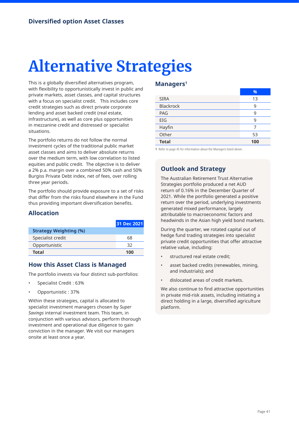# **Alternative Strategies**

This is a globally diversified alternatives program, with flexibility to opportunistically invest in public and private markets, asset classes, and capital structures with a focus on specialist credit. This includes core credit strategies such as direct private corporate lending and asset backed credit (real estate, infrastructure), as well as core plus opportunities in mezzanine credit and distressed or specialist situations.

The portfolio returns do not follow the normal investment cycles of the traditional public market asset classes and aims to deliver absolute returns over the medium term, with low correlation to listed equities and public credit. The objective is to deliver a 2% p.a. margin over a combined 50% cash and 50% Burgiss Private Debt index, net of fees, over rolling three year periods.

The portfolio should provide exposure to a set of risks that differ from the risks found elsewhere in the Fund thus providing important diversification benefits.

### **Allocation**

|                               | 31 Dec 2021 |
|-------------------------------|-------------|
| <b>Strategy Weighting (%)</b> |             |
| Specialist credit             | 68          |
| Opportunistic                 | 32          |
| <b>Total</b>                  | 100         |

#### **How this Asset Class is Managed**

The portfolio invests via four distinct sub-portfolios:

- Specialist Credit : 63%
- Opportunistic : 37%

Within these strategies, capital is allocated to specialist investment managers chosen by *Super Savings* internal investment team. This team, in conjunction with various advisors, perform thorough investment and operational due diligence to gain conviction in the manager. We visit our managers onsite at least once a year.

#### **Managers1**

|                  | %   |
|------------------|-----|
| <b>SIRA</b>      | 13  |
| <b>Blackrock</b> | 9   |
| <b>PAG</b>       | 9   |
| EIG              | 9   |
| Hayfin           | 7   |
| Other            | 53  |
| <b>Total</b>     | 100 |

**1** Refer to page 45 for information about the Managers listed above.

### **Outlook and Strategy**

The Australian Retirement Trust Alternative Strategies portfolio produced a net AUD return of 0.16% in the December Quarter of 2021. While the portfolio generated a positive return over the period, underlying investments generated mixed performance, largely attributable to macroeconomic factors and headwinds in the Asian high yield bond markets.

During the quarter, we rotated capital out of hedge fund trading strategies into specialist private credit opportunities that offer attractive relative value, including:

- structured real estate credit;
- asset backed credits (renewables, mining, and industrials); and
- dislocated areas of credit markets.

We also continue to find attractive opportunities in private mid-risk assets, including initiating a direct holding in a large, diversified agriculture platform.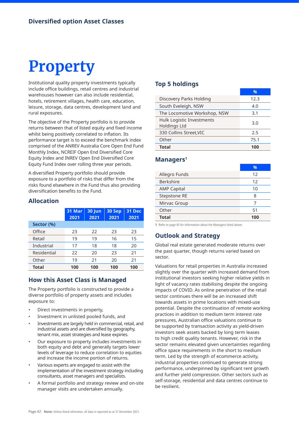# **Property**

Institutional quality property investments typically include office buildings, retail centres and industrial warehouses however can also include residential, hotels, retirement villages, health care, education, leisure, storage, data centres, development land and rural exposures.

The objective of the Property portfolio is to provide returns between that of listed equity and fixed income whilst being positively correlated to inflation. Its performance target is to exceed the benchmark index comprised of the ANREV Australia Core Open End Fund Monthly Index, NCREIF Open End Diversified Core Equity Index and INREV Open End Diversified Core Equity Fund Index over rolling three year periods.

A diversified Property portfolio should provide exposure to a portfolio of risks that differ from the risks found elsewhere in the Fund thus also providing diversification benefits to the Fund.

#### **Allocation**

|              | 31 Mar<br>2021 | 30 Jun<br>2021 | 30 Sep<br>2021 | <b>31 Dec</b><br>2021 |
|--------------|----------------|----------------|----------------|-----------------------|
| Sector (%)   |                |                |                |                       |
| Office       | 23             | 22             | 23             | 23                    |
| Retail       | 19             | 19             | 16             | 15                    |
| Industrial   | 17             | 18             | 18             | 20                    |
| Residential  | 22             | 20             | 23             | 21                    |
| Other        | 19             | 21             | 20             | 21                    |
| <b>Total</b> | 100            | 100            | 100            | 100                   |

#### **How this Asset Class is Managed**

The Property portfolio is constructed to provide a diverse portfolio of property assets and includes exposure to:

- Direct investments in property,
- Investment in unlisted pooled funds, and
- Investments are largely held in commercial, retail, and industrial assets and are diversified by geography, tenant mix, asset strategies and lease expiries.
- Our exposure to property includes investments in both equity and debt and generally targets lower levels of leverage to reduce correlation to equities and increase the income portion of returns.
- Various experts are engaged to assist with the implementation of the investment strategy including consultants, asset managers and specialists.
- A formal portfolio and strategy review and on-site manager visits are undertaken annually.

#### **Top 5 holdings**

|                                           | %    |
|-------------------------------------------|------|
| Discovery Parks Holding                   | 12.3 |
| South Eveleigh, NSW                       | 4.0  |
| The Locomotive Workshop, NSW              | 3.1  |
| Hulk Logistic Investments<br>Holdings Ltd | 3.0  |
| 330 Collins Street, VIC                   | 2.5  |
| Other                                     | 75.1 |
| <b>Total</b>                              | 100  |

#### **Managers1**

|                    | %   |
|--------------------|-----|
| Allegro Funds      | 12  |
| <b>Berkshire</b>   | 12  |
| <b>AMP Capital</b> | 10  |
| Stepstone RE       | 8   |
| Mirvac Group       | 7   |
| Other              | 51  |
| <b>Total</b>       | 100 |

**1** Refer to page 45 for information about the Managers listed above.

#### **Outlook and Strategy**

Global real estate generated moderate returns over the past quarter, though returns varied based on sector.

Valuations for retail properties in Australia increased slightly over the quarter with increased demand from institutional investors seeking higher relative yields in light of vacancy rates stabilising despite the ongoing impacts of COVID. As online penetration of the retail sector continues there will be an increased shift towards assets in prime locations with mixed-use potential. Despite the continuation of remote working practices in addition to medium term interest rate pressures, Australian office valuations continue to be supported by transaction activity as yield-driven investors seek assets backed by long term leases to high credit quality tenants. However, risk in the sector remains elevated given uncertainties regarding office space requirements in the short to medium term. Led by the strength of ecommerce activity, industrial properties continued to generate strong performance, underpinned by significant rent growth and further yield compression. Other sectors such as self-storage, residential and data centres continue to be resilient.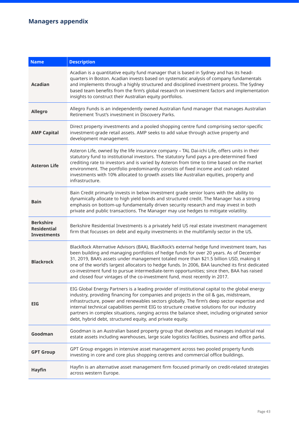# **Managers appendix**

| <b>Name</b>                                                  | <b>Description</b>                                                                                                                                                                                                                                                                                                                                                                                                                                                                                                                                           |
|--------------------------------------------------------------|--------------------------------------------------------------------------------------------------------------------------------------------------------------------------------------------------------------------------------------------------------------------------------------------------------------------------------------------------------------------------------------------------------------------------------------------------------------------------------------------------------------------------------------------------------------|
| <b>Acadian</b>                                               | Acadian is a quantitative equity fund manager that is based in Sydney and has its head-<br>quarters in Boston. Acadian invests based on systematic analysis of company fundamentals<br>and implements through a highly structured and disciplined investment process. The Sydney<br>based team benefits from the firm's global research on investment factors and implementation<br>insights to construct their Australian equity portfolios.                                                                                                                |
| <b>Allegro</b>                                               | Allegro Funds is an independently owned Australian fund manager that manages Australian<br>Retirement Trust's investment in Discovery Parks.                                                                                                                                                                                                                                                                                                                                                                                                                 |
| <b>AMP Capital</b>                                           | Direct property investments and a pooled shopping centre fund comprising sector-specific<br>investment-grade retail assets. AMP seeks to add value through active property and<br>development management.                                                                                                                                                                                                                                                                                                                                                    |
| <b>Asteron Life</b>                                          | Asteron Life, owned by the life insurance company - TAL Dai-ichi Life, offers units in their<br>statutory fund to institutional investors. The statutory fund pays a pre-determined fixed<br>crediting rate to investors and is varied by Asteron from time to time based on the market<br>environment. The portfolio predominantly consists of fixed income and cash related<br>investments with 10% allocated to growth assets like Australian equities, property and<br>infrastructure.                                                                   |
| <b>Bain</b>                                                  | Bain Credit primarily invests in below investment grade senior loans with the ability to<br>dynamically allocate to high yield bonds and structured credit. The Manager has a strong<br>emphasis on bottom-up fundamentally driven security research and may invest in both<br>private and public transactions. The Manager may use hedges to mitigate volatility.                                                                                                                                                                                           |
| <b>Berkshire</b><br><b>Residential</b><br><b>Investments</b> | Berkshire Residential Investments is a privately held US real estate investment management<br>firm that focusses on debt and equity investments in the multifamily sector in the US.                                                                                                                                                                                                                                                                                                                                                                         |
| <b>Blackrock</b>                                             | BlackRock Alternative Advisors (BAA), BlackRock's external hedge fund investment team, has<br>been building and managing portfolios of hedge funds for over 20 years. As of December<br>31, 2019, BAA's assets under management totaled more than \$21.5 billion USD, making it<br>one of the world's largest allocators to hedge funds. In 2006, BAA launched its first dedicated<br>co-investment fund to pursue intermediate-term opportunities; since then, BAA has raised<br>and closed four vintages of the co-investment fund, most recently in 2017. |
| <b>EIG</b>                                                   | EIG Global Energy Partners is a leading provider of institutional capital to the global energy<br>industry, providing financing for companies and projects in the oil & gas, midstream,<br>infrastructure, power and renewables sectors globally. The firm's deep sector expertise and<br>internal technical capabilities permit EIG to structure creative solutions for our industry<br>partners in complex situations, ranging across the balance sheet, including originated senior<br>debt, hybrid debt, structured equity, and private equity.          |
| Goodman                                                      | Goodman is an Australian based property group that develops and manages industrial real<br>estate assets including warehouses, large scale logistics facilities, business and office parks.                                                                                                                                                                                                                                                                                                                                                                  |
| <b>GPT Group</b>                                             | GPT Group engages in intensive asset management across two pooled property funds<br>investing in core and core plus shopping centres and commercial office buildings.                                                                                                                                                                                                                                                                                                                                                                                        |
| <b>Hayfin</b>                                                | Hayfin is an alternative asset management firm focused primarily on credit-related strategies<br>across western Europe.                                                                                                                                                                                                                                                                                                                                                                                                                                      |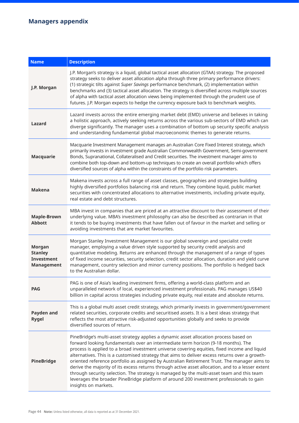## **Managers appendix**

| <b>Name</b>                                                               | <b>Description</b>                                                                                                                                                                                                                                                                                                                                                                                                                                                                                                                                                                                                                                                                                                                                                                                 |
|---------------------------------------------------------------------------|----------------------------------------------------------------------------------------------------------------------------------------------------------------------------------------------------------------------------------------------------------------------------------------------------------------------------------------------------------------------------------------------------------------------------------------------------------------------------------------------------------------------------------------------------------------------------------------------------------------------------------------------------------------------------------------------------------------------------------------------------------------------------------------------------|
| J.P. Morgan                                                               | J.P. Morgan's strategy is a liquid, global tactical asset allocation (GTAA) strategy. The proposed<br>strategy seeks to deliver asset allocation alpha through three primary performance drivers:<br>(1) strategic tilts against Super Savings performance benchmark, (2) implementation within<br>benchmarks and (3) tactical asset allocation. The strategy is diversified across multiple sources<br>of alpha with tactical asset allocation views being implemented through the prudent use of<br>futures. J.P. Morgan expects to hedge the currency exposure back to benchmark weights.                                                                                                                                                                                                       |
| Lazard                                                                    | Lazard invests across the entire emerging market debt (EMD) universe and believes in taking<br>a holistic approach, actively seeking returns across the various sub-sectors of EMD which can<br>diverge significantly. The manager uses a combination of bottom up security specific analysis<br>and understanding fundamental global macroeconomic themes to generate returns.                                                                                                                                                                                                                                                                                                                                                                                                                    |
| <b>Macquarie</b>                                                          | Macquarie Investment Management manages an Australian Core Fixed Interest strategy, which<br>primarily invests in investment grade Australian Commonwealth Government, Semi-government<br>Bonds, Supranational, Collateralised and Credit securities. The investment manager aims to<br>combine both top-down and bottom-up techniques to create an overall portfolio which offers<br>diversified sources of alpha within the constraints of the portfolio risk parameters.                                                                                                                                                                                                                                                                                                                        |
| <b>Makena</b>                                                             | Makena invests across a full range of asset classes, geographies and strategies building<br>highly diversified portfolios balancing risk and return. They combine liquid, public market<br>securities with concentrated allocations to alternative investments, including private equity,<br>real estate and debt structures.                                                                                                                                                                                                                                                                                                                                                                                                                                                                      |
| <b>Maple-Brown</b><br><b>Abbott</b>                                       | MBA invest in companies that are priced at an attractive discount to their assessment of their<br>underlying value. MBA's investment philosophy can also be described as contrarian in that<br>it tends to be buying investments that have fallen out of favour in the market and selling or<br>avoiding investments that are market favourites.                                                                                                                                                                                                                                                                                                                                                                                                                                                   |
| <b>Morgan</b><br><b>Stanley</b><br><b>Investment</b><br><b>Management</b> | Morgan Stanley Investment Management is our global sovereign and specialist credit<br>manager, employing a value driven style supported by security credit analysis and<br>quantitative modeling. Returns are enhanced through the management of a range of types<br>of fixed income securities, security selection, credit sector allocation, duration and yield curve<br>management, country selection and minor currency positions. The portfolio is hedged back<br>to the Australian dollar.                                                                                                                                                                                                                                                                                                   |
| <b>PAG</b>                                                                | PAG is one of Asia's leading investment firms, offering a world-class platform and an<br>unparalleled network of local, experienced investment professionals. PAG manages US\$40<br>billion in capital across strategies including private equity, real estate and absolute returns.                                                                                                                                                                                                                                                                                                                                                                                                                                                                                                               |
| Payden and<br><b>Rygel</b>                                                | This is a global multi asset credit strategy, which primarily invests in government/government<br>related securities, corporate credits and securitised assets. It is a best ideas strategy that<br>reflects the most attractive risk-adjusted opportunities globally and seeks to provide<br>diversified sources of return.                                                                                                                                                                                                                                                                                                                                                                                                                                                                       |
| <b>PineBridge</b>                                                         | PineBridge's multi-asset strategy applies a dynamic asset allocation process based on<br>forward looking fundamentals over an intermediate term horizon (9-18 months). The<br>process is applied to a broad investment universe covering equities, fixed income and liquid<br>alternatives. This is a customised strategy that aims to deliver excess returns over a growth-<br>oriented reference portfolio as assigned by Australian Retirement Trust. The manager aims to<br>derive the majority of its excess returns through active asset allocation, and to a lesser extent<br>through security selection. The strategy is managed by the multi-asset team and this team<br>leverages the broader PineBridge platform of around 200 investment professionals to gain<br>insights on markets. |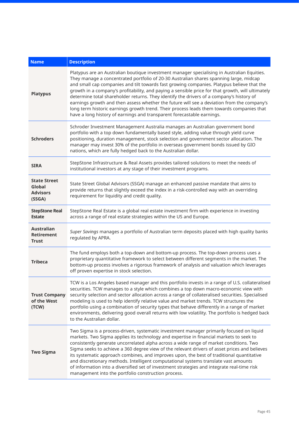| <b>Name</b>                                                | <b>Description</b>                                                                                                                                                                                                                                                                                                                                                                                                                                                                                                                                                                                                                                                                                                                                        |
|------------------------------------------------------------|-----------------------------------------------------------------------------------------------------------------------------------------------------------------------------------------------------------------------------------------------------------------------------------------------------------------------------------------------------------------------------------------------------------------------------------------------------------------------------------------------------------------------------------------------------------------------------------------------------------------------------------------------------------------------------------------------------------------------------------------------------------|
| <b>Platypus</b>                                            | Platypus are an Australian boutique investment manager specialising in Australian Equities.<br>They manage a concentrated portfolio of 20-30 Australian shares spanning large, midcap<br>and small cap companies and tilt towards fast growing companies. Platypus believe that the<br>growth in a company's profitability, and paying a sensible price for that growth, will ultimately<br>determine total shareholder returns. They identify the drivers of a company's history of<br>earnings growth and then assess whether the future will see a deviation from the company's<br>long term historic earnings growth trend. Their process leads them towards companies that<br>have a long history of earnings and transparent forecastable earnings. |
| <b>Schroders</b>                                           | Schroder Investment Management Australia manages an Australian government bond<br>portfolio with a top down fundamentally based style, adding value through yield curve<br>positioning, duration management, stock selection and government sector allocation. The<br>manager may invest 30% of the portfolio in overseas government bonds issued by GIO<br>nations, which are fully hedged back to the Australian dollar.                                                                                                                                                                                                                                                                                                                                |
| <b>SIRA</b>                                                | StepStone Infrastructure & Real Assets provides tailored solutions to meet the needs of<br>institutional investors at any stage of their investment programs.                                                                                                                                                                                                                                                                                                                                                                                                                                                                                                                                                                                             |
| <b>State Street</b><br>Global<br><b>Advisors</b><br>(SSGA) | State Street Global Advisors (SSGA) manage an enhanced passive mandate that aims to<br>provide returns that slightly exceed the index in a risk-controlled way with an overriding<br>requirement for liquidity and credit quality.                                                                                                                                                                                                                                                                                                                                                                                                                                                                                                                        |
| <b>StepStone Real</b><br><b>Estate</b>                     | StepStone Real Estate is a global real estate investment firm with experience in investing<br>across a range of real estate strategies within the US and Europe.                                                                                                                                                                                                                                                                                                                                                                                                                                                                                                                                                                                          |
| <b>Australian</b><br><b>Retirement</b><br><b>Trust</b>     | Super Savings manages a portfolio of Australian term deposits placed with high quality banks<br>regulated by APRA.                                                                                                                                                                                                                                                                                                                                                                                                                                                                                                                                                                                                                                        |
| <b>Tribeca</b>                                             | The fund employs both a top-down and bottom-up process. The top-down process uses a<br>proprietary quantitative framework to select between different segments in the market. The<br>bottom-up process involves a rigorous framework of analysis and valuation which leverages<br>off proven expertise in stock selection.                                                                                                                                                                                                                                                                                                                                                                                                                                |
| <b>Trust Company</b><br>of the West<br>(TCW)               | TCW is a Los Angeles based manager and this portfolio invests in a range of U.S. collateralised<br>securities. TCW manages to a style which combines a top down macro-economic view with<br>security selection and sector allocation across a range of collateralised securities. Specialised<br>modeling is used to help identify relative value and market trends. TCW structures the<br>portfolio using a combination of security types that behave differently in a range of market<br>environments, delivering good overall returns with low volatility. The portfolio is hedged back<br>to the Australian dollar.                                                                                                                                   |
| <b>Two Sigma</b>                                           | Two Sigma is a process-driven, systematic investment manager primarily focused on liquid<br>markets. Two Sigma applies its technology and expertise in financial markets to seek to<br>consistently generate uncorrelated alpha across a wide range of market conditions. Two<br>Sigma seeks to achieve a 360 degree view of the relevant drivers of asset prices and believes<br>its systematic approach combines, and improves upon, the best of traditional quantitative<br>and discretionary methods. Intelligent computational systems translate vast amounts<br>of information into a diversified set of investment strategies and integrate real-time risk<br>management into the portfolio construction process.                                  |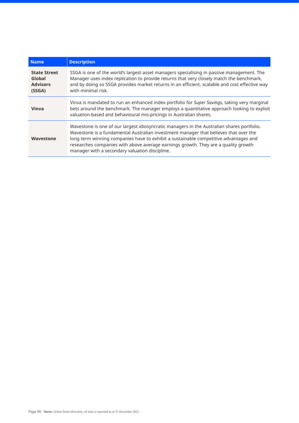| <b>Name</b>                                                | <b>Description</b>                                                                                                                                                                                                                                                                                                                                                                                                 |
|------------------------------------------------------------|--------------------------------------------------------------------------------------------------------------------------------------------------------------------------------------------------------------------------------------------------------------------------------------------------------------------------------------------------------------------------------------------------------------------|
| <b>State Street</b><br>Global<br><b>Advisors</b><br>(SSGA) | SSGA is one of the world's largest asset managers specialising in passive management. The<br>Manager uses index replication to provide returns that very closely match the benchmark,<br>and by doing so SSGA provides market returns in an efficient, scalable and cost effective way<br>with minimal risk.                                                                                                       |
| Vinva                                                      | Vinva is mandated to run an enhanced index portfolio for Super Savings, taking very marginal<br>bets around the benchmark. The manager employs a quantitative approach looking to exploit<br>valuation-based and behavioural mis-pricings in Australian shares.                                                                                                                                                    |
| Wavestone                                                  | Wavestone is one of our largest idiosyncratic managers in the Australian shares portfolio.<br>Wavestone is a fundamental Australian investment manager that believes that over the<br>long term winning companies have to exhibit a sustainable competitive advantages and<br>researches companies with above average earnings growth. They are a quality growth<br>manager with a secondary valuation discipline. |